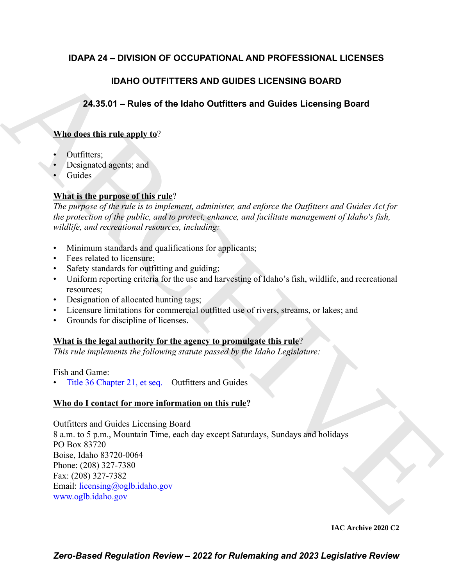# **IDAPA 24 – DIVISION OF OCCUPATIONAL AND PROFESSIONAL LICENSES**

# **IDAHO OUTFITTERS AND GUIDES LICENSING BOARD**

# **24.35.01 – Rules of the Idaho Outfitters and Guides Licensing Board**

# **Who does this rule apply to**?

- Outfitters;
- Designated agents; and
- Guides.

# **What is the purpose of this rule**?

*The purpose of the rule is to implement, administer, and enforce the Outfitters and Guides Act for the protection of the public, and to protect, enhance, and facilitate management of Idaho's fish, wildlife, and recreational resources, including:*

- Minimum standards and qualifications for applicants;
- Fees related to licensure;
- Safety standards for outfitting and guiding;
- Uniform reporting criteria for the use and harvesting of Idaho's fish, wildlife, and recreational resources;
- Designation of allocated hunting tags;
- Licensure limitations for commercial outfitted use of rivers, streams, or lakes; and
- Grounds for discipline of licenses.

# **What is the legal authority for the agency to promulgate this rule**?

*This rule implements the following statute passed by the Idaho Legislature:*

# Fish and Game:

• Title 36 Chapter 21, et seq. – Outfitters and Guides

# **Who do I contact for more information on this rule?**

IDAHO OUTFITT[E](http:www.oglb.idaho.gov)RS AND GUIDES LICENSING BOARD<br>
24.35.01 - Rules of the Idaho Outfitters and Guides Licensing Board<br>
Whe diest this rule angle  $X_0^2$ <br>  $\therefore$  Outfliters,<br>  $\therefore$  Outfliters,<br>  $\therefore$  Outfliters,<br>  $\therefore$  Outfliter Outfitters and Guides Licensing Board 8 a.m. to 5 p.m., Mountain Time, each day except Saturdays, Sundays and holidays PO Box 83720 Boise, Idaho 83720-0064 Phone: (208) 327-7380 Fax: (208) 327-7382 Email: licensing@oglb.idaho.gov www.oglb.idaho.gov

### **IAC Archive 2020 C2**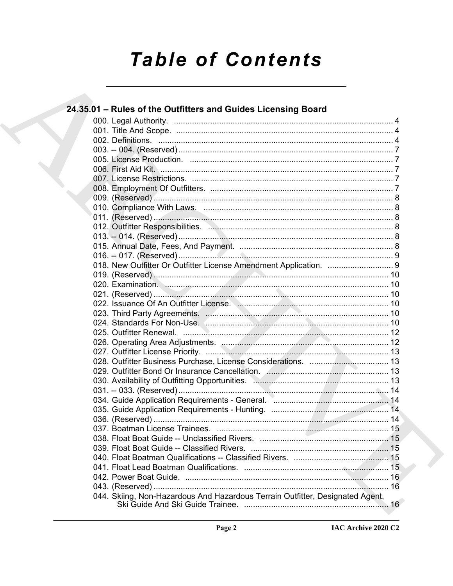# **Table of Contents**

| 24.35.01 – Rules of the Outfitters and Guides Licensing Board                                                 |  |
|---------------------------------------------------------------------------------------------------------------|--|
|                                                                                                               |  |
|                                                                                                               |  |
|                                                                                                               |  |
|                                                                                                               |  |
|                                                                                                               |  |
|                                                                                                               |  |
|                                                                                                               |  |
|                                                                                                               |  |
|                                                                                                               |  |
|                                                                                                               |  |
|                                                                                                               |  |
|                                                                                                               |  |
|                                                                                                               |  |
|                                                                                                               |  |
|                                                                                                               |  |
| 018. New Outfitter Or Outfitter License Amendment Application.  9                                             |  |
|                                                                                                               |  |
|                                                                                                               |  |
|                                                                                                               |  |
|                                                                                                               |  |
|                                                                                                               |  |
|                                                                                                               |  |
|                                                                                                               |  |
|                                                                                                               |  |
|                                                                                                               |  |
|                                                                                                               |  |
|                                                                                                               |  |
| 030. Availability of Outfitting Opportunities. Manuscrittion. 2010. Availability of Outfitting Opportunities. |  |
|                                                                                                               |  |
|                                                                                                               |  |
|                                                                                                               |  |
|                                                                                                               |  |
|                                                                                                               |  |
|                                                                                                               |  |
|                                                                                                               |  |
|                                                                                                               |  |
|                                                                                                               |  |
|                                                                                                               |  |
|                                                                                                               |  |
| 044. Skiing, Non-Hazardous And Hazardous Terrain Outfitter, Designated Agent,                                 |  |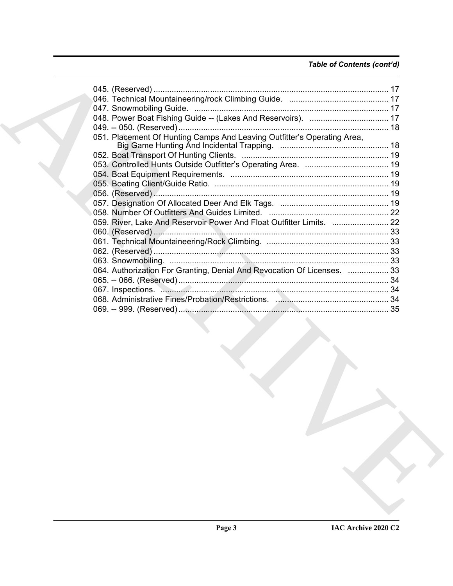# *Table of Contents (cont'd)*

| 051. Placement Of Hunting Camps And Leaving Outfitter's Operating Area, |  |
|-------------------------------------------------------------------------|--|
|                                                                         |  |
|                                                                         |  |
|                                                                         |  |
|                                                                         |  |
|                                                                         |  |
|                                                                         |  |
|                                                                         |  |
|                                                                         |  |
| 059. River, Lake And Reservoir Power And Float Outfitter Limits.  22    |  |
|                                                                         |  |
|                                                                         |  |
|                                                                         |  |
|                                                                         |  |
| 064. Authorization For Granting, Denial And Revocation Of Licenses.  33 |  |
|                                                                         |  |
| 067. Inspections. 34                                                    |  |
|                                                                         |  |
|                                                                         |  |
|                                                                         |  |
|                                                                         |  |
|                                                                         |  |
|                                                                         |  |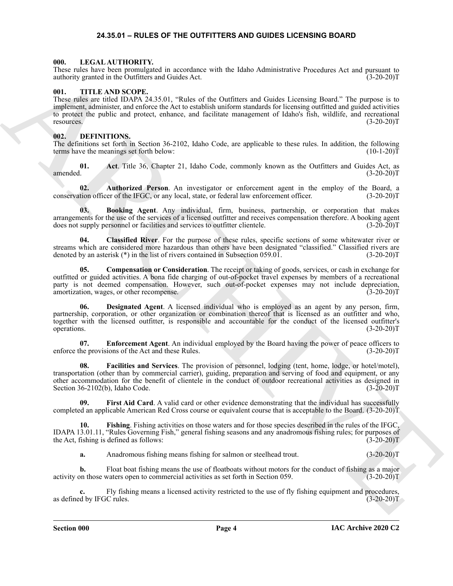### <span id="page-3-15"></span>**24.35.01 – RULES OF THE OUTFITTERS AND GUIDES LICENSING BOARD**

#### <span id="page-3-1"></span><span id="page-3-0"></span>**000. LEGAL AUTHORITY.**

These rules have been promulgated in accordance with the Idaho Administrative Procedures Act and pursuant to authority granted in the Outfitters and Guides Act. (3-20-20)T

#### <span id="page-3-16"></span><span id="page-3-2"></span>**001. TITLE AND SCOPE.**

These ratio the Continentation of the Robert State behind Advantation Constant and Collisions and Collisions Continent and Collisions and Collisions and Collisions and Collisions and Collisions and Collisions and Collisio These rules are titled IDAPA 24.35.01, "Rules of the Outfitters and Guides Licensing Board." The purpose is to implement, administer, and enforce the Act to establish uniform standards for licensing outfitted and guided activities to protect the public and protect, enhance, and facilitate management of Idaho's fish, wildlife, and recreational resources. (3-20-20)T

#### <span id="page-3-4"></span><span id="page-3-3"></span>**002. DEFINITIONS.**

The definitions set forth in Section 36-2102, Idaho Code, are applicable to these rules. In addition, the following terms have the meanings set forth below: (10-1-20) terms have the meanings set forth below:

<span id="page-3-5"></span>**01.** Act. Title 36, Chapter 21, Idaho Code, commonly known as the Outfitters and Guides Act, as amended. (3-20-20) amended. (3-20-20)T

<span id="page-3-6"></span>**02.** Authorized Person. An investigator or enforcement agent in the employ of the Board, a tion officer of the IFGC, or any local, state, or federal law enforcement officer. (3-20-20)T conservation officer of the IFGC, or any local, state, or federal law enforcement officer.

<span id="page-3-7"></span>**03. Booking Agent**. Any individual, firm, business, partnership, or corporation that makes arrangements for the use of the services of a licensed outfitter and receives compensation therefore. A booking agent does not supply personnel or facilities and services to outfitter clientele. (3-20-20)T

<span id="page-3-8"></span>**04. Classified River**. For the purpose of these rules, specific sections of some whitewater river or streams which are considered more hazardous than others have been designated "classified." Classified rivers are denoted by an asterisk (\*) in the list of rivers contained in Subsection 059.01. (3-20-20)T

<span id="page-3-9"></span>**05. Compensation or Consideration**. The receipt or taking of goods, services, or cash in exchange for outfitted or guided activities. A bona fide charging of out-of-pocket travel expenses by members of a recreational party is not deemed compensation. However, such out-of-pocket expenses may not include depreciation, amortization, wages or other recompense. (3-20-20) amortization, wages, or other recompense.

<span id="page-3-10"></span>**06. Designated Agent**. A licensed individual who is employed as an agent by any person, firm, partnership, corporation, or other organization or combination thereof that is licensed as an outfitter and who, together with the licensed outfitter, is responsible and accountable for the conduct of the licensed outfitter's operations. (3-20-20) operations. (3-20-20)T

<span id="page-3-11"></span>**07. Enforcement Agent**. An individual employed by the Board having the power of peace officers to enforce the provisions of the Act and these Rules. (3-20-20)T

<span id="page-3-12"></span>**08. Facilities and Services**. The provision of personnel, lodging (tent, home, lodge, or hotel/motel), transportation (other than by commercial carrier), guiding, preparation and serving of food and equipment, or any other accommodation for the benefit of clientele in the conduct of outdoor recreational activities as designed in Section 36-2102(b), Idaho Code. (3-20-20)T

<span id="page-3-13"></span>First Aid Card. A valid card or other evidence demonstrating that the individual has successfully completed an applicable American Red Cross course or equivalent course that is acceptable to the Board. (3-20-20)T

**10. Fishing**. Fishing activities on those waters and for those species described in the rules of the IFGC, IDAPA 13.01.11, "Rules Governing Fish," general fishing seasons and any anadromous fishing rules; for purposes of the Act, fishing is defined as follows:

<span id="page-3-14"></span>**a.** Anadromous fishing means fishing for salmon or steelhead trout.  $(3-20-20)T$ 

**b.** Float boat fishing means the use of floatboats without motors for the conduct of fishing as a major activity on those waters open to commercial activities as set forth in Section 059. (3-20-20)T

Fly fishing means a licensed activity restricted to the use of fly fishing equipment and procedures, as defined by IFGC rules. (3-20-20)T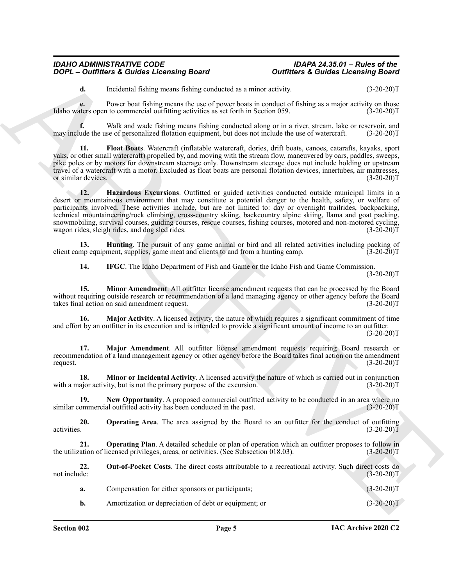**d.** Incidental fishing means fishing conducted as a minor activity.  $(3-20-20)T$ 

**e.** Power boat fishing means the use of power boats in conduct of fishing as a major activity on those there is open to commercial outfitting activities as set forth in Section 059. (3-20-20) Idaho waters open to commercial outfitting activities as set forth in Section 059.

**f.** Walk and wade fishing means fishing conducted along or in a river, stream, lake or reservoir, and ude the use of personalized flotation equipment, but does not include the use of watercraft. (3-20-20) may include the use of personalized flotation equipment, but does not include the use of watercraft.

<span id="page-4-1"></span><span id="page-4-0"></span>**11. Float Boats**. Watercraft (inflatable watercraft, dories, drift boats, canoes, catarafts, kayaks, sport yaks, or other small watercraft) propelled by, and moving with the stream flow, maneuvered by oars, paddles, sweeps, pike poles or by motors for downstream steerage only. Downstream steerage does not include holding or upstream travel of a watercraft with a motor. Excluded as float boats are personal flotation devices, innertubes, air mattresses, or similar devices. (3-20-20) or similar devices.

**2009** C-Durithmes & Collection and a material of the state of the state of the state of the state of the state of the state of the state of the state of the state of the state of the state of the state of the state of th **12. Hazardous Excursions**. Outfitted or guided activities conducted outside municipal limits in a desert or mountainous environment that may constitute a potential danger to the health, safety, or welfare of participants involved. These activities include, but are not limited to: day or overnight trailrides, backpacking, technical mountaineering/rock climbing, cross-country skiing, backcountry alpine skiing, llama and goat packing, snowmobiling, survival courses, guiding courses, rescue courses, fishing courses, motored and non-motored cycling, wagon rides, sleigh rides, and dog sled rides. wagon rides, sleigh rides, and  $\log$  sled rides.

**13. Hunting**. The pursuit of any game animal or bird and all related activities including packing of mp equipment, supplies, game meat and clients to and from a hunting camp. (3-20-20) client camp equipment, supplies, game meat and clients to and from a hunting camp.

<span id="page-4-6"></span><span id="page-4-4"></span><span id="page-4-3"></span><span id="page-4-2"></span>**14. IFGC**. The Idaho Department of Fish and Game or the Idaho Fish and Game Commission.

 $(3-20-20)T$ 

**15. Minor Amendment**. All outfitter license amendment requests that can be processed by the Board without requiring outside research or recommendation of a land managing agency or other agency before the Board takes final action on said amendment request. (3-20-20)T

**16. Major Activity**. A licensed activity, the nature of which requires a significant commitment of time and effort by an outfitter in its execution and is intended to provide a significant amount of income to an outfitter.  $(3-20-20)T$ 

<span id="page-4-5"></span>**17. Major Amendment**. All outfitter license amendment requests requiring Board research or recommendation of a land management agency or other agency before the Board takes final action on the amendment request.  $(3-20-20)T$ 

<span id="page-4-7"></span>**18. Minor or Incidental Activity**. A licensed activity the nature of which is carried out in conjunction aior activity, but is not the primary purpose of the excursion. (3-20-20) with a major activity, but is not the primary purpose of the excursion.

<span id="page-4-8"></span>**19.** New Opportunity. A proposed commercial outfitted activity to be conducted in an area where no ommercial outfitted activity has been conducted in the past. (3-20-20) similar commercial outfitted activity has been conducted in the past.

<span id="page-4-9"></span>**20. 20. Operating Area**. The area assigned by the Board to an outfitter for the conduct of outfitting activities. (3-20-20) activities.  $(3-20-20)T$ 

<span id="page-4-10"></span>**21. Operating Plan**. A detailed schedule or plan of operation which an outfitter proposes to follow in ation of licensed privileges, areas, or activities. (See Subsection 018.03). (3-20-20) the utilization of licensed privileges, areas, or activities. (See Subsection 018.03).

**22.** Out-of-Pocket Costs. The direct costs attributable to a recreational activity. Such direct costs do not include: (3-20-20)T not include:  $(3-20-20)T$ 

<span id="page-4-11"></span>

| Compensation for either sponsors or participants;     | $(3-20-20)T$ |
|-------------------------------------------------------|--------------|
| Amortization or depreciation of debt or equipment; or | $(3-20-20)T$ |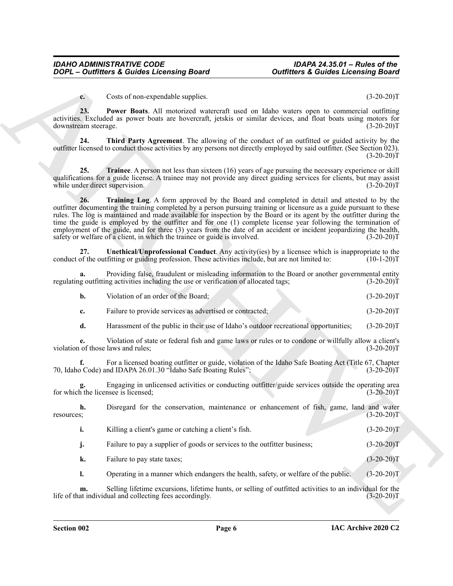<span id="page-5-1"></span><span id="page-5-0"></span>**c.** Costs of non-expendable supplies. (3-20-20)T

**23. Power Boats**. All motorized watercraft used on Idaho waters open to commercial outfitting activities. Excluded as power boats are hovercraft, jetskis or similar devices, and float boats using motors for downstream steerage. (3-20-20)T

**24. Third Party Agreement**. The allowing of the conduct of an outfitted or guided activity by the outfitter licensed to conduct those activities by any persons not directly employed by said outfitter. (See Section 023).  $(3-20-20)T$ 

<span id="page-5-3"></span><span id="page-5-2"></span>**25. Trainee**. A person not less than sixteen (16) years of age pursuing the necessary experience or skill qualifications for a guide license. A trainee may not provide any direct guiding services for clients, but may assist while under direct supervision. (3-20-20)T

**2006**  $\vec{r} = \vec{0}$  and so constraints a constraint phose of the constraint of the constraints and the constraint of the constraint of the constraint of the constraint of the constraint of the constraint of the constrain **26. Training Log**. A form approved by the Board and completed in detail and attested to by the outfitter documenting the training completed by a person pursuing training or licensure as a guide pursuant to these rules. The log is maintained and made available for inspection by the Board or its agent by the outfitter during the time the guide is employed by the outfitter and for one (1) complete license year following the termination of employment of the guide, and for three (3) years from the date of an accident or incident jeopardizing the health, safety or welfare of a client, in which the trainee or guide is involved. (3-20-20)T

<span id="page-5-4"></span>**27. Unethical/Unprofessional Conduct**. Any activity(ies) by a licensee which is inappropriate to the conduct of the outfitting or guiding profession. These activities include, but are not limited to: (10-1-20)T

**a.** Providing false, fraudulent or misleading information to the Board or another governmental entity regulating outfitting activities including the use or verification of allocated tags; (3-20-20)T

| Violation of an order of the Board: | $(3-20-20)T$ |
|-------------------------------------|--------------|

- **c.** Failure to provide services as advertised or contracted;  $(3-20-20)$ T
- **d.** Harassment of the public in their use of Idaho's outdoor recreational opportunities;  $(3-20-20)T$

**e.** Violation of state or federal fish and game laws or rules or to condone or willfully allow a client's violation of those laws and rules; (3-20-20)T

**f.** For a licensed boating outfitter or guide, violation of the Idaho Safe Boating Act (Title 67, Chapter 70, Idaho Code) and IDAPA 26.01.30 "Idaho Safe Boating Rules"; (3-20-20)T

**g.** Engaging in unlicensed activities or conducting outfitter/guide services outside the operating area for which the licensee is licensed; (3-20-20)T

**h.** Disregard for the conservation, maintenance or enhancement of fish, game, land and water s; resources; (3-20-20)T

|  | Killing a client's game or catching a client's fish. |  | $(3-20-20)T$ |
|--|------------------------------------------------------|--|--------------|
|--|------------------------------------------------------|--|--------------|

**j.** Failure to pay a supplier of goods or services to the outfitter business; (3-20-20)

**k.** Failure to pay state taxes; (3-20-20)T

**l.** Operating in a manner which endangers the health, safety, or welfare of the public. (3-20-20)T

**m.** Selling lifetime excursions, lifetime hunts, or selling of outfitted activities to an individual for the at individual and collecting fees accordingly. (3-20-20)<sup>T</sup> life of that individual and collecting fees accordingly.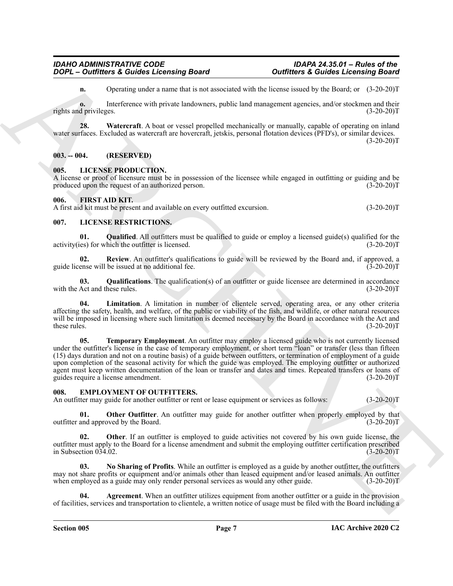<span id="page-6-5"></span>**n.** Operating under a name that is not associated with the license issued by the Board; or (3-20-20)T

**o.** Interference with private landowners, public land management agencies, and/or stockmen and their d privileges. (3-20-20) rights and privileges.

**28. Watercraft**. A boat or vessel propelled mechanically or manually, capable of operating on inland water surfaces. Excluded as watercraft are hovercraft, jetskis, personal flotation devices (PFD's), or similar devices.  $(3-20-20)$ T

#### <span id="page-6-0"></span>**003. -- 004. (RESERVED)**

#### <span id="page-6-12"></span><span id="page-6-1"></span>**005. LICENSE PRODUCTION.**

A license or proof of licensure must be in possession of the licensee while engaged in outfitting or guiding and be produced upon the request of an authorized person. (3-20-20)T

#### <span id="page-6-11"></span><span id="page-6-2"></span>**006. FIRST AID KIT.**

A first aid kit must be present and available on every outfitted excursion. (3-20-20)T

### <span id="page-6-13"></span><span id="page-6-3"></span>**007. LICENSE RESTRICTIONS.**

<span id="page-6-16"></span>**01.** Qualified. All outfitters must be qualified to guide or employ a licensed guide(s) qualified for the es) for which the outfitter is licensed. (3-20-20) activity(ies) for which the outfitter is licensed.

<span id="page-6-17"></span>**02.** Review. An outfitter's qualifications to guide will be reviewed by the Board and, if approved, a ense will be issued at no additional fee. guide license will be issued at no additional fee.

<span id="page-6-15"></span>**03.** Qualifications. The qualification(s) of an outfitter or guide licensee are determined in accordance Act and these rules. (3-20-20)T with the Act and these rules.

<span id="page-6-18"></span><span id="page-6-14"></span>**04. Limitation**. A limitation in number of clientele served, operating area, or any other criteria affecting the safety, health, and welfare, of the public or viability of the fish, and wildlife, or other natural resources will be imposed in licensing where such limitation is deemed necessary by the Board in accordance with the Act and these rules. (3-20-20)T

**2009** C-2008 Finder and Counter the state of the state of the state of the state of the state of the state of the state of the state of the state of the state of the state of the state of the state of the state of the st **05. Temporary Employment**. An outfitter may employ a licensed guide who is not currently licensed under the outfitter's license in the case of temporary employment, or short term "loan" or transfer (less than fifteen (15) days duration and not on a routine basis) of a guide between outfitters, or termination of employment of a guide upon completion of the seasonal activity for which the guide was employed. The employing outfitter or authorized agent must keep written documentation of the loan or transfer and dates and times. Repeated transfers or loans of guides require a license amendment. (3-20-20) guides require a license amendment.

#### <span id="page-6-6"></span><span id="page-6-4"></span>**008. EMPLOYMENT OF OUTFITTERS.**

An outfitter may guide for another outfitter or rent or lease equipment or services as follows: (3-20-20) (3-20-20)

<span id="page-6-10"></span>**01. Other Outfitter**. An outfitter may guide for another outfitter when properly employed by that and approved by the Board. (3-20-20) outfitter and approved by the Board.

<span id="page-6-9"></span>**Other**. If an outfitter is employed to guide activities not covered by his own guide license, the outfitter must apply to the Board for a license amendment and submit the employing outfitter certification prescribed in Subsection  $\overline{034.02}$ .

<span id="page-6-8"></span>**03. No Sharing of Profits**. While an outfitter is employed as a guide by another outfitter, the outfitters may not share profits or equipment and/or animals other than leased equipment and/or leased animals. An outfitter when employed as a guide may only render personal services as would any other guide.  $(3-20-20)$ T

<span id="page-6-7"></span>**Agreement**. When an outfitter utilizes equipment from another outfitter or a guide in the provision of facilities, services and transportation to clientele, a written notice of usage must be filed with the Board including a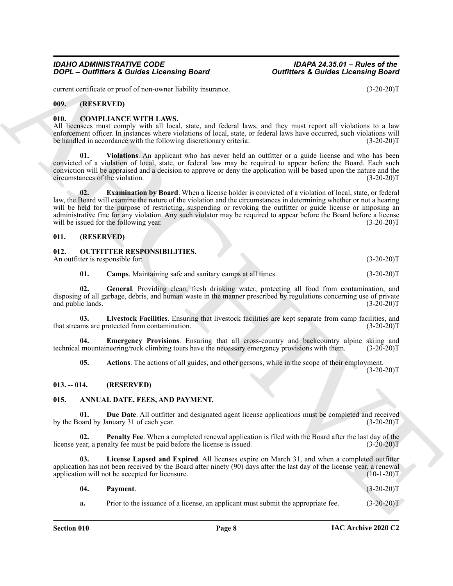current certificate or proof of non-owner liability insurance. (3-20-20)T

<span id="page-7-0"></span>**009. (RESERVED)**

#### <span id="page-7-11"></span><span id="page-7-1"></span>**010. COMPLIANCE WITH LAWS.**

All licensees must comply with all local, state, and federal laws, and they must report all violations to a law enforcement officer. In instances where violations of local, state, or federal laws have occurred, such violations will<br>be handled in accordance with the following discretionary criteria: (3-20-20) be handled in accordance with the following discretionary criteria:

<span id="page-7-13"></span><span id="page-7-12"></span>**01. Violations**. An applicant who has never held an outfitter or a guide license and who has been convicted of a violation of local, state, or federal law may be required to appear before the Board. Each such conviction will be appraised and a decision to approve or deny the application will be based upon the nature and the circumstances of the violation.

**2009**<br>
2009<sup>12</sup> – Outflier's & Guides Locensing Board<br>
controlled the provide contents of the state and points.<br>
ARCHIVENT (1930-1931)<br>
2010 – Convertication of the state and for the state and the state and the state and **02. Examination by Board**. When a license holder is convicted of a violation of local, state, or federal law, the Board will examine the nature of the violation and the circumstances in determining whether or not a hearing will be held for the purpose of restricting, suspending or revoking the outfitter or guide license or imposing an administrative fine for any violation. Any such violator may be required to appear before the Board before a license will be issued for the following year. (3-20-20)T

#### <span id="page-7-14"></span><span id="page-7-2"></span>**011. (RESERVED)**

<span id="page-7-3"></span>

| 012<br><b>OUTFITTER RESPONSIBILITIES.</b> |              |
|-------------------------------------------|--------------|
| An outfitter is responsible for:          | $(3-20-20)T$ |
|                                           |              |

<span id="page-7-19"></span><span id="page-7-18"></span><span id="page-7-16"></span>**01. Camps**. Maintaining safe and sanitary camps at all times. (3-20-20)T

**02. General**. Providing clean, fresh drinking water, protecting all food from contamination, and disposing of all garbage, debris, and human waste in the manner prescribed by regulations concerning use of private and public lands. (3-20-20)T

**03. Livestock Facilities**. Ensuring that livestock facilities are kept separate from camp facilities, and that streams are protected from contamination. (3-20-20)T

**04. Emergency Provisions**. Ensuring that all cross-country and backcountry alpine skiing and technical mountaineering/rock climbing tours have the necessary emergency provisions with them. (3-20-20)T

<span id="page-7-17"></span><span id="page-7-15"></span><span id="page-7-7"></span>**05. Actions**. The actions of all guides, and other persons, while in the scope of their employment.

 $(3-20-20)T$ 

#### <span id="page-7-4"></span>**013. -- 014. (RESERVED)**

#### <span id="page-7-6"></span><span id="page-7-5"></span>**015. ANNUAL DATE, FEES, AND PAYMENT.**

**01. Due Date**. All outfitter and designated agent license applications must be completed and received oard by January 31 of each year. (3-20-20) by the Board by January 31 of each year.

<span id="page-7-10"></span>**02. Penalty Fee**. When a completed renewal application is filed with the Board after the last day of the ear, a penalty fee must be paid before the license is issued. (3-20-20)<sup>T</sup> license year, a penalty fee must be paid before the license is issued.

**03. License Lapsed and Expired**. All licenses expire on March 31, and when a completed outfitter application has not been received by the Board after ninety (90) days after the last day of the license year, a renewal application will not be accepted for licensure. (10-1-20)T

<span id="page-7-9"></span><span id="page-7-8"></span>

| - 04. | Payment. | $(3-20-20)T$ |  |
|-------|----------|--------------|--|
|       |          |              |  |

**a.** Prior to the issuance of a license, an applicant must submit the appropriate fee.  $(3-20-20)$ T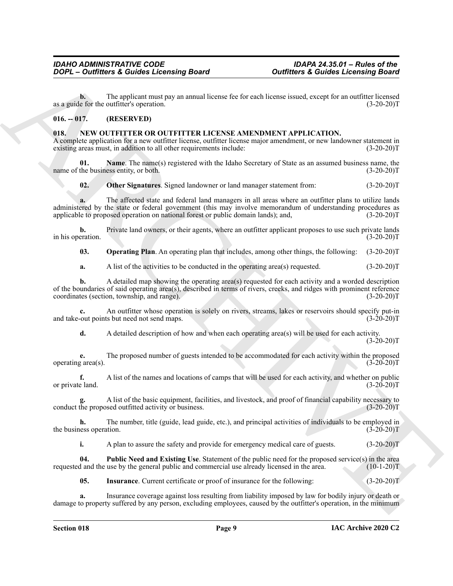**b.** The applicant must pay an annual license fee for each license issued, except for an outfitter licensed as a guide for the outfitter's operation. (3-20-20)T

### <span id="page-8-0"></span>**016. -- 017. (RESERVED)**

#### <span id="page-8-2"></span><span id="page-8-1"></span>**018. NEW OUTFITTER OR OUTFITTER LICENSE AMENDMENT APPLICATION.**

A complete application for a new outfitter license, outfitter license major amendment, or new landowner statement in existing areas must, in addition to all other requirements include: (3-20-20)T

**01.** Name. The name(s) registered with the Idaho Secretary of State as an assumed business name, the the business entity, or both.  $(3-20-20)$ name of the business entity, or both.

<span id="page-8-6"></span><span id="page-8-4"></span>**02.** Other Signatures. Signed landowner or land manager statement from:  $(3-20-20)T$ 

**2008** - **Contributes & Control** alternative proced <br>
The proposed matrix (see the system and livene live to result here we have been control to the system with the system of the system of the system and the system of the **a.** The affected state and federal land managers in all areas where an outfitter plans to utilize lands administered by the state or federal government (this may involve memorandum of understanding procedures as applicable to proposed operation on national forest or public domain lands); and, (3-20-20)T

**b.** Private land owners, or their agents, where an outfitter applicant proposes to use such private lands eration. (3-20-20) in his operation.

<span id="page-8-5"></span>**03. Operating Plan**. An operating plan that includes, among other things, the following: (3-20-20)T

**a.** A list of the activities to be conducted in the operating area(s) requested. (3-20-20)T

**b.** A detailed map showing the operating area(s) requested for each activity and a worded description of the boundaries of said operating area(s), described in terms of rivers, creeks, and ridges with prominent reference coordinates (section, township, and range). (3-20-20) coordinates (section, township, and range).

**c.** An outfitter whose operation is solely on rivers, streams, lakes or reservoirs should specify put-in-<br>out points but need not send maps. (3-20-20)T and take-out points but need not send maps.

**d.** A detailed description of how and when each operating area(s) will be used for each activity.  $(3-20-20)T$ 

**e.** The proposed number of guests intended to be accommodated for each activity within the proposed operating area(s). (3-20-20)T

**f.** A list of the names and locations of camps that will be used for each activity, and whether on public e land. (3-20-20) or private land.

A list of the basic equipment, facilities, and livestock, and proof of financial capability necessary to sed outfitted activity or business. (3-20-20)<sup>T</sup> conduct the proposed outfitted activity or business.

**h.** The number, title (guide, lead guide, etc.), and principal activities of individuals to be employed in the business operation. (3-20-20)T

<span id="page-8-7"></span>**i.** A plan to assure the safety and provide for emergency medical care of guests. (3-20-20)T

**04. Public Need and Existing Use**. Statement of the public need for the proposed service(s) in the area requested and the use by the general public and commercial use already licensed in the area. (10-1-20)T

<span id="page-8-3"></span>**05.** Insurance. Current certificate or proof of insurance for the following:  $(3-20-20)$ T

**a.** Insurance coverage against loss resulting from liability imposed by law for bodily injury or death or damage to property suffered by any person, excluding employees, caused by the outfitter's operation, in the minimum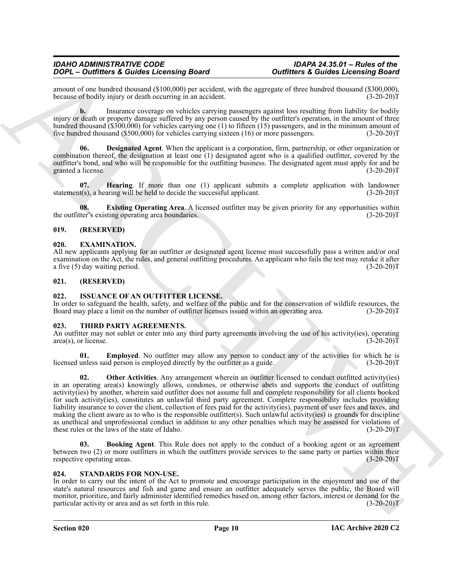amount of one hundred thousand (\$100,000) per accident, with the aggregate of three hundred thousand (\$300,000), because of bodily injury or death occurring in an accident.

**b.** Insurance coverage on vehicles carrying passengers against loss resulting from liability for bodily injury or death or property damage suffered by any person caused by the outfitter's operation, in the amount of three hundred thousand (\$300,000) for vehicles carrying one (1) to fifteen (15) passengers, and in the minimum amount of five hundred thousand (\$500,000) for vehicles carrying sixteen (16) or more passengers. (3-20-20)T five hundred thousand  $(\$500,000)$  for vehicles carrying sixteen  $(16)$  or more passengers.

<span id="page-9-8"></span>**Designated Agent**. When the applicant is a corporation, firm, partnership, or other organization or combination thereof, the designation at least one (1) designated agent who is a qualified outfitter, covered by the outfitter's bond, and who will be responsible for the outfitting business. The designated agent must apply for and be granted a license. (3-20-20)T

<span id="page-9-10"></span>**07. Hearing**. If more than one (1) applicant submits a complete application with landowner statement(s), a hearing will be held to decide the successful applicant. (3-20-20)T

<span id="page-9-9"></span>**08. Existing Operating Area**. A licensed outfitter may be given priority for any opportunities within the outfitter's existing operating area boundaries. (3-20-20)T

#### <span id="page-9-0"></span>**019. (RESERVED)**

#### <span id="page-9-6"></span><span id="page-9-1"></span>**020. EXAMINATION.**

All new applicants applying for an outfitter or designated agent license must successfully pass a written and/or oral examination on the Act, the rules, and general outfitting procedures. An applicant who fails the test may retake it after a five (5) day waiting period. (3-20-20)T

#### <span id="page-9-2"></span>**021. (RESERVED)**

#### <span id="page-9-7"></span><span id="page-9-3"></span>**022. ISSUANCE OF AN OUTFITTER LICENSE.**

In order to safeguard the health, safety, and welfare of the public and for the conservation of wildlife resources, the Board may place a limit on the number of outfitter licenses issued within an operating area. (3-20-20) Board may place a limit on the number of outfitter licenses issued within an operating area.

#### <span id="page-9-12"></span><span id="page-9-4"></span>**023. THIRD PARTY AGREEMENTS.**

An outfitter may not sublet or enter into any third party agreements involving the use of his activity(ies), operating area(s), or license. (3-20-20)  $area(s)$ , or license.

<span id="page-9-15"></span><span id="page-9-14"></span>**01. Employed**. No outfitter may allow any person to conduct any of the activities for which he is licensed unless said person is employed directly by the outfitter as a guide. (3-20-20)T

**To-1** Continuous & Contorio and Constraint Description Constraint Constraint Constraint Constraint Constraint Constraint Constraint Constraint Constraint Constraint Constraint Constraint Constraint Constraint Constraint **02.** Other Activities. Any arrangement wherein an outfitter licensed to conduct outfitted activity(ies) in an operating area(s) knowingly allows, condones, or otherwise abets and supports the conduct of outfitting activity(ies) by another, wherein said outfitter does not assume full and complete responsibility for all clients booked for such activity(ies), constitutes an unlawful third party agreement. Complete responsibility includes providing liability insurance to cover the client, collection of fees paid for the activity(ies), payment of user fees and taxes, and making the client aware as to who is the responsible outfitter(s). Such unlawful activity(ies) is grounds for discipline as unethical and unprofessional conduct in addition to any other penalties which may be assessed for violations of these rules or the laws of the state of Idaho. (3-20-20)T

<span id="page-9-13"></span>**03. Booking Agent**. This Rule does not apply to the conduct of a booking agent or an agreement between two (2) or more outfitters in which the outfitters provide services to the same party or parties within their respective operating areas. (3-20-20)T

#### <span id="page-9-11"></span><span id="page-9-5"></span>**024. STANDARDS FOR NON-USE.**

In order to carry out the intent of the Act to promote and encourage participation in the enjoyment and use of the state's natural resources and fish and game and ensure an outfitter adequately serves the public, the Board will monitor, prioritize, and fairly administer identified remedies based on, among other factors, interest or demand for the particular activity or area and as set forth in this rule. (3-20-20)T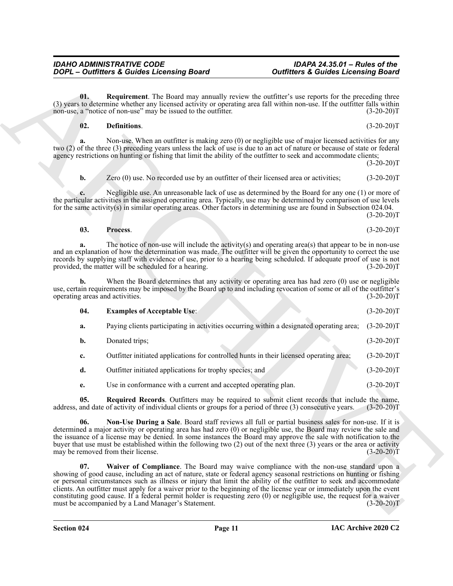#### <span id="page-10-5"></span><span id="page-10-3"></span><span id="page-10-1"></span><span id="page-10-0"></span>**02. Definitions**. (3-20-20)T

|                                       | <b>DOPL</b> - Outfitters & Guides Licensing Board                                                                                                                                                                                                                                                                                                                                                                                                                                                                                                                                                                                                  | <b>Outfitters &amp; Guides Licensing Board</b> |
|---------------------------------------|----------------------------------------------------------------------------------------------------------------------------------------------------------------------------------------------------------------------------------------------------------------------------------------------------------------------------------------------------------------------------------------------------------------------------------------------------------------------------------------------------------------------------------------------------------------------------------------------------------------------------------------------------|------------------------------------------------|
| 01.                                   | <b>Requirement</b> . The Board may annually review the outfitter's use reports for the preceding three<br>(3) years to determine whether any licensed activity or operating area fall within non-use. If the outfitter falls within<br>non-use, a "notice of non-use" may be issued to the outfitter.                                                                                                                                                                                                                                                                                                                                              | $(3-20-20)T$                                   |
| 02.                                   | Definitions.                                                                                                                                                                                                                                                                                                                                                                                                                                                                                                                                                                                                                                       | $(3-20-20)T$                                   |
| a.                                    | Non-use. When an outfitter is making zero (0) or negligible use of major licensed activities for any<br>two (2) of the three (3) preceding years unless the lack of use is due to an act of nature or because of state or federal<br>agency restrictions on hunting or fishing that limit the ability of the outfitter to seek and accommodate clients;                                                                                                                                                                                                                                                                                            | $(3-20-20)T$                                   |
| b.                                    | Zero (0) use. No recorded use by an outfitter of their licensed area or activities;                                                                                                                                                                                                                                                                                                                                                                                                                                                                                                                                                                | $(3-20-20)T$                                   |
|                                       | Negligible use. An unreasonable lack of use as determined by the Board for any one (1) or more of<br>the particular activities in the assigned operating area. Typically, use may be determined by comparison of use levels<br>for the same activity(s) in similar operating areas. Other factors in determining use are found in Subsection 024.04.                                                                                                                                                                                                                                                                                               | $(3-20-20)T$                                   |
| 03.                                   | Process.                                                                                                                                                                                                                                                                                                                                                                                                                                                                                                                                                                                                                                           | $(3-20-20)T$                                   |
|                                       | The notice of non-use will include the activity(s) and operating $area(s)$ that appear to be in non-use<br>and an explanation of how the determination was made. The outfitter will be given the opportunity to correct the use<br>records by supplying staff with evidence of use, prior to a hearing being scheduled. If adequate proof of use is not<br>provided, the matter will be scheduled for a hearing.                                                                                                                                                                                                                                   | $(3-20-20)T$                                   |
| b.<br>operating areas and activities. | When the Board determines that any activity or operating area has had zero (0) use or negligible<br>use, certain requirements may be imposed by the Board up to and including revocation of some or all of the outfitter's                                                                                                                                                                                                                                                                                                                                                                                                                         | $(3-20-20)T$                                   |
| 04.                                   | <b>Examples of Acceptable Use:</b>                                                                                                                                                                                                                                                                                                                                                                                                                                                                                                                                                                                                                 | $(3-20-20)T$                                   |
| a.                                    | Paying clients participating in activities occurring within a designated operating area;                                                                                                                                                                                                                                                                                                                                                                                                                                                                                                                                                           | $(3-20-20)T$                                   |
| b.                                    | Donated trips;                                                                                                                                                                                                                                                                                                                                                                                                                                                                                                                                                                                                                                     | $(3-20-20)T$                                   |
| c.                                    | Outfitter initiated applications for controlled hunts in their licensed operating area;                                                                                                                                                                                                                                                                                                                                                                                                                                                                                                                                                            | $(3-20-20)T$                                   |
| d.                                    | Outfitter initiated applications for trophy species; and                                                                                                                                                                                                                                                                                                                                                                                                                                                                                                                                                                                           | $(3-20-20)T$                                   |
| e.                                    | Use in conformance with a current and accepted operating plan.                                                                                                                                                                                                                                                                                                                                                                                                                                                                                                                                                                                     | $(3-20-20)T$                                   |
| 05.                                   | Required Records. Outfitters may be required to submit client records that include the name,<br>address, and date of activity of individual clients or groups for a period of three (3) consecutive years.                                                                                                                                                                                                                                                                                                                                                                                                                                         | $(3-20-20)T$                                   |
| 06.                                   | Non-Use During a Sale. Board staff reviews all full or partial business sales for non-use. If it is<br>determined a major activity or operating area has had zero (0) or negligible use, the Board may review the sale and<br>the issuance of a license may be denied. In some instances the Board may approve the sale with notification to the<br>buyer that use must be established within the following two (2) out of the next three (3) years or the area or activity<br>may be removed from their license.                                                                                                                                  | $(3-20-20)T$                                   |
| 07.                                   | Waiver of Compliance. The Board may waive compliance with the non-use standard upon a<br>showing of good cause, including an act of nature, state or federal agency seasonal restrictions on hunting or fishing<br>or personal circumstances such as illness or injury that limit the ability of the outfitter to seek and accommodate<br>clients. An outfitter must apply for a waiver prior to the beginning of the license year or immediately upon the event<br>constituting good cause. If a federal permit holder is requesting zero $(0)$ or negligible use, the request for a waiver<br>must be accompanied by a Land Manager's Statement. | $(3-20-20)T$                                   |

<span id="page-10-6"></span><span id="page-10-4"></span><span id="page-10-2"></span>**IAC Archive 2020 C2**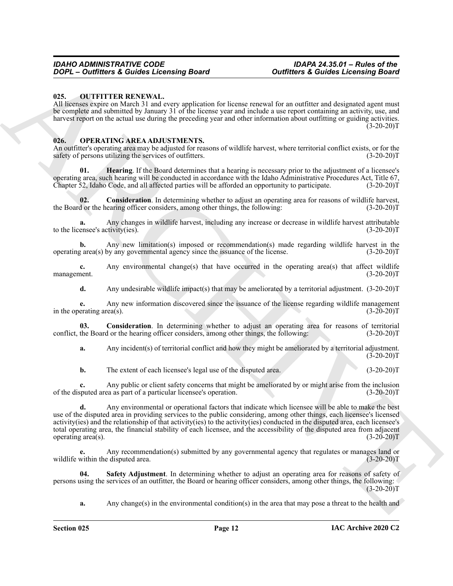#### <span id="page-11-7"></span><span id="page-11-0"></span>**025. OUTFITTER RENEWAL.**

All licenses expire on March 31 and every application for license renewal for an outfitter and designated agent must be complete and submitted by January 31 of the license year and include a use report containing an activity, use, and harvest report on the actual use during the preceding year and other information about outfitting or guiding activities.  $(3-20-20)T$ 

#### <span id="page-11-2"></span><span id="page-11-1"></span>**026. OPERATING AREA ADJUSTMENTS.**

An outfitter's operating area may be adjusted for reasons of wildlife harvest, where territorial conflict exists, or for the safety of persons utilizing the services of outfitters. (3-20-20)T

<span id="page-11-5"></span>**01. Hearing**. If the Board determines that a hearing is necessary prior to the adjustment of a licensee's operating area, such hearing will be conducted in accordance with the Idaho Administrative Procedures Act, Title 67, Chapter 52, Idaho Code, and all affected parties will be afforded an opportunity to participate. (3-20-20)T

<span id="page-11-4"></span>**02.** Consideration. In determining whether to adjust an operating area for reasons of wildlife harvest, d or the hearing officer considers, among other things, the following: (3-20-20) the Board or the hearing officer considers, among other things, the following:

**a.** Any changes in wildlife harvest, including any increase or decrease in wildlife harvest attributable ensee's activity(ies). (3-20-20) to the licensee's activity(ies).

**b.** Any new limitation(s) imposed or recommendation(s) made regarding wildlife harvest in the g area(s) by any governmental agency since the issuance of the license. (3-20-20) operating area(s) by any governmental agency since the issuance of the license.

**c.** Any environmental change(s) that have occurred in the operating area(s) that affect wildlife nent. (3-20-20) management.

**d.** Any undesirable wildlife impact(s) that may be ameliorated by a territorial adjustment. (3-20-20)T

**e.** Any new information discovered since the issuance of the license regarding wildlife management erating area(s).  $(3-20-20)T$ in the operating area(s).

**03. Consideration**. In determining whether to adjust an operating area for reasons of territorial conflict, the Board or the hearing officer considers, among other things, the following: (3-20-20)T

<span id="page-11-3"></span>**a.** Any incident(s) of territorial conflict and how they might be ameliorated by a territorial adjustment.  $(3-20-20)$ T

**b.** The extent of each licensee's legal use of the disputed area. (3-20-20)T

**c.** Any public or client safety concerns that might be ameliorated by or might arise from the inclusion of the disputed area as part of a particular licensee's operation. (3-20-20)T

**2007** Contribute a Guidel a Location Board<br>
On the contribute a Guidel a Location Board<br>
On the contribute a Contribute and Contribute and Contribute and Contribute and Contribute and Contribute and<br>
ARCHIVEN REVENUE AND **d.** Any environmental or operational factors that indicate which licensee will be able to make the best use of the disputed area in providing services to the public considering, among other things, each licensee's licensed activity(ies) and the relationship of that activity(ies) to the activity(ies) conducted in the disputed area, each licensee's total operating area, the financial stability of each licensee, and the accessibility of the disputed area from adjacent operating area(s).  $(3-20-20)T$ 

**e.** Any recommendation(s) submitted by any governmental agency that regulates or manages land or wildlife within the disputed area. (3-20-20)T

**04. Safety Adjustment**. In determining whether to adjust an operating area for reasons of safety of persons using the services of an outfitter, the Board or hearing officer considers, among other things, the following:  $(3-20-20)T$ 

<span id="page-11-6"></span>**a.** Any change(s) in the environmental condition(s) in the area that may pose a threat to the health and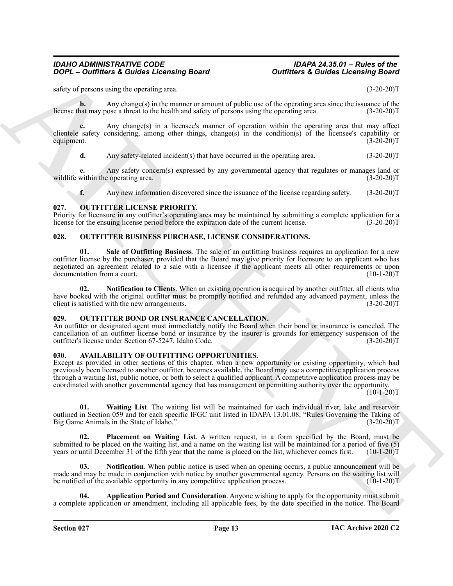safety of persons using the operating area. (3-20-20)T

**b.** Any change(s) in the manner or amount of public use of the operating area since the issuance of the halth and safety of persons using the operating area. (3-20-20)<sup>T</sup> license that may pose a threat to the health and safety of persons using the operating area.

**c.** Any change(s) in a licensee's manner of operation within the operating area that may affect clientele safety considering, among other things, change(s) in the condition(s) of the licensee's capability or equipment.  $(3-20-20)T$ equipment.  $(3-20-20)T$ 

**d.** Any safety-related incident(s) that have occurred in the operating area. (3-20-20)T

**e.** Any safety concern(s) expressed by any governmental agency that regulates or manages land or within the operating area. (3-20-20)<sup>T</sup> wildlife within the operating area.

<span id="page-12-13"></span>**f.** Any new information discovered since the issuance of the license regarding safety. (3-20-20)T

#### <span id="page-12-0"></span>**027. OUTFITTER LICENSE PRIORITY.**

Priority for licensure in any outfitter's operating area may be maintained by submitting a complete application for a license for the ensuing license period before the expiration date of the current license. (3-20-20)T

#### <span id="page-12-12"></span><span id="page-12-10"></span><span id="page-12-1"></span>**028. OUTFITTER BUSINESS PURCHASE, LICENSE CONSIDERATIONS.**

**2008**<br>
2009<sup>12</sup> – Outflies at Causes and the system of the system of the system and since the system of the system of the system of the system and the system of the system of the system of the system of the system of the **01. Sale of Outfitting Business**. The sale of an outfitting business requires an application for a new outfitter license by the purchaser, provided that the Board may give priority for licensure to an applicant who has negotiated an agreement related to a sale with a licensee if the applicant meets all other requirements or upon documentation from a court. documentation from a court.

<span id="page-12-11"></span>**02. Notification to Clients**. When an existing operation is acquired by another outfitter, all clients who have booked with the original outfitter must be promptly notified and refunded any advanced payment, unless the client is satisfied with the new arrangements. (3-20-20)T

#### <span id="page-12-9"></span><span id="page-12-2"></span>**029. OUTFITTER BOND OR INSURANCE CANCELLATION.**

An outfitter or designated agent must immediately notify the Board when their bond or insurance is canceled. The cancellation of an outfitter license bond or insurance by the insurer is grounds for emergency suspension of the outfitter's license under Section 67-5247, Idaho Code. (3-20-20) outfitter's license under Section 67-5247, Idaho Code.

#### <span id="page-12-4"></span><span id="page-12-3"></span>**030. AVAILABILITY OF OUTFITTING OPPORTUNITIES.**

Except as provided in other sections of this chapter, when a new opportunity or existing opportunity, which had previously been licensed to another outfitter, becomes available, the Board may use a competitive application process through a waiting list, public notice, or both to select a qualified applicant. A competitive application process may be coordinated with another governmental agency that has management or permitting authority over the opportunity.

 $(10-1-20)T$ 

<span id="page-12-8"></span>**01. Waiting List**. The waiting list will be maintained for each individual river, lake and reservoir outlined in Section 059 and for each specific IFGC unit listed in IDAPA 13.01.08, "Rules Governing the Taking of Big Game Animals in the State of Idaho."

<span id="page-12-7"></span>**02. Placement on Waiting List**. A written request, in a form specified by the Board, must be submitted to be placed on the waiting list, and a name on the waiting list will be maintained for a period of five  $(5)$  years or until December 31 of the fifth year that the name is placed on the list, whichever comes fi years or until December 31 of the fifth year that the name is placed on the list, whichever comes first.

<span id="page-12-6"></span>**Notification**. When public notice is used when an opening occurs, a public announcement will be made and may be made in conjunction with notice by another governmental agency. Persons on the waiting list will be notified of the available opportunity in any competitive application process. (10-1-20)T

<span id="page-12-5"></span>**04. Application Period and Consideration**. Anyone wishing to apply for the opportunity must submit a complete application or amendment, including all applicable fees, by the date specified in the notice. The Board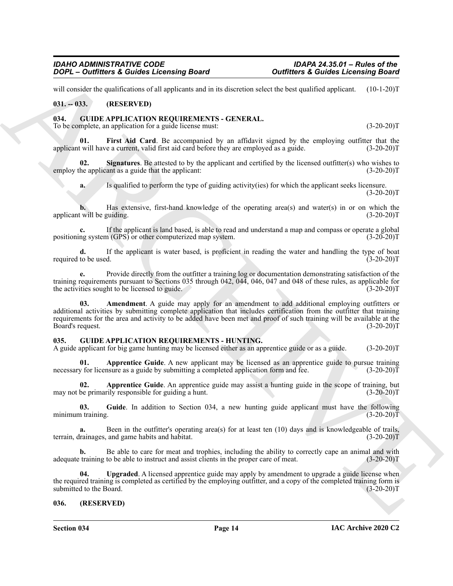will consider the qualifications of all applicants and in its discretion select the best qualified applicant. (10-1-20)T

#### <span id="page-13-0"></span>**031. -- 033. (RESERVED)**

#### <span id="page-13-5"></span><span id="page-13-1"></span>**034. GUIDE APPLICATION REQUIREMENTS - GENERAL.**

To be complete, an application for a guide license must:  $(3-20-20)T$ 

<span id="page-13-6"></span>First Aid Card. Be accompanied by an affidavit signed by the employing outfitter that the applicant will have a current, valid first aid card before they are employed as a guide. (3-20-20)T

**02. Signatures**. Be attested to by the applicant and certified by the licensed outfitter(s) who wishes to employ the applicant as a guide that the applicant: (3-20-20)T

<span id="page-13-7"></span>**a.** Is qualified to perform the type of guiding activity(ies) for which the applicant seeks licensure.  $(3-20-20)T$ 

**b.** Has extensive, first-hand knowledge of the operating area(s) and water(s) in or on which the applicant will be guiding. (3-20-20)T

**c.** If the applicant is land based, is able to read and understand a map and compass or operate a global positioning system (GPS) or other computerized map system. (3-20-20)T

**d.** If the applicant is water based, is proficient in reading the water and handling the type of boat required to be used.  $(3-20-20)T$ 

<span id="page-13-4"></span>**e.** Provide directly from the outfitter a training log or documentation demonstrating satisfaction of the training requirements pursuant to Sections 035 through 042, 044, 046, 047 and 048 of these rules, as applicable for the activities sought to be licensed to guide.  $(3-20-20)$ the activities sought to be licensed to guide.

**2009**<br> **Contribute & Contribute & Contribute & Contribute & Contribute & Contribute & Contribute & Contribute & Contribute & Contribute & Contribute & Contribute & Contribute & Contribute & Contribute & Contribute & Cont 03. Amendment**. A guide may apply for an amendment to add additional employing outfitters or additional activities by submitting complete application that includes certification from the outfitter that training requirements for the area and activity to be added have been met and proof of such training will be available at the Board's request. (3-20-20)T

#### <span id="page-13-8"></span><span id="page-13-2"></span>**035. GUIDE APPLICATION REQUIREMENTS - HUNTING.**

A guide applicant for big game hunting may be licensed either as an apprentice guide or as a guide. (3-20-20)T

<span id="page-13-9"></span>**01. Apprentice Guide**. A new applicant may be licensed as an apprentice guide to pursue training necessary for licensure as a guide by submitting a completed application form and fee.  $(3-20-20)T$ 

**02. Apprentice Guide**. An apprentice guide may assist a hunting guide in the scope of training, but may not be primarily responsible for guiding a hunt. (3-20-20)T

<span id="page-13-10"></span>**03. Guide**. In addition to Section 034, a new hunting guide applicant must have the following minimum training.  $(3-20-20)T$ 

**a.** Been in the outfitter's operating area(s) for at least ten (10) days and is knowledgeable of trails, terrain, drainages, and game habits and habitat. (3-20-20)T

**b.** Be able to care for meat and trophies, including the ability to correctly cape an animal and with adequate training to be able to instruct and assist clients in the proper care of meat. (3-20-20)T

<span id="page-13-11"></span>**04. Upgraded**. A licensed apprentice guide may apply by amendment to upgrade a guide license when the required training is completed as certified by the employing outfitter, and a copy of the completed training form is submitted to the Board. (3-20-20) submitted to the Board.

#### <span id="page-13-3"></span>**036. (RESERVED)**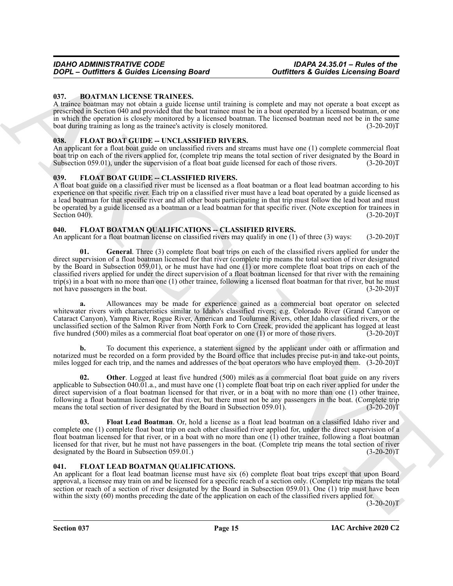#### <span id="page-14-5"></span><span id="page-14-0"></span>**037. BOATMAN LICENSE TRAINEES.**

A trainee boatman may not obtain a guide license until training is complete and may not operate a boat except as prescribed in Section 040 and provided that the boat trainee must be in a boat operated by a licensed boatman, or one in which the operation is closely monitored by a licensed boatman. The licensed boatman need not be in the same boat during training as long as the trainee's activity is closely monitored. (3-20-20)T

#### <span id="page-14-7"></span><span id="page-14-1"></span>**038. FLOAT BOAT GUIDE -- UNCLASSIFIED RIVERS.**

An applicant for a float boat guide on unclassified rivers and streams must have one (1) complete commercial float boat trip on each of the rivers applied for, (complete trip means the total section of river designated by the Board in Subsection 059.01), under the supervision of a float boat guide licensed for each of those rivers. (3-Subsection 059.01), under the supervision of a float boat guide licensed for each of those rivers.

#### <span id="page-14-6"></span><span id="page-14-2"></span>039. FLOAT BOAT GUIDE -- CLASSIFIED RIVERS.

A float boat guide on a classified river must be licensed as a float boatman or a float lead boatman according to his experience on that specific river. Each trip on a classified river must have a lead boat operated by a guide licensed as a lead boatman for that specific river and all other boats participating in that trip must follow the lead boat and must be operated by a guide licensed as a boatman or a lead boatman for that specific river. (Note exception for trainees in Section 040).  $(3-20-20)T$ 

#### <span id="page-14-8"></span><span id="page-14-3"></span>**040. FLOAT BOATMAN QUALIFICATIONS -- CLASSIFIED RIVERS.**

<span id="page-14-10"></span>An applicant for a float boatman license on classified rivers may qualify in one (1) of three (3) ways: (3-20-20)T

**2007** - **Contribute 3 Control in the control in the state of the state of the state of the state of the state of the state of the state of the state of the state of the state of the state of the state of the state of t 01. General**. Three (3) complete float boat trips on each of the classified rivers applied for under the direct supervision of a float boatman licensed for that river (complete trip means the total section of river designated by the Board in Subsection 059.01), or he must have had one (1) or more complete float boat trips on each of the classified rivers applied for under the direct supervision of a float boatman licensed for that river with the remaining trip(s) in a boat with no more than one (1) other trainee, following a licensed float boatman for that river, but he must<br>not have passengers in the boat. (3-20-20)T not have passengers in the boat.

**a.** Allowances may be made for experience gained as a commercial boat operator on selected whitewater rivers with characteristics similar to Idaho's classified rivers; e.g. Colorado River (Grand Canyon or Cataract Canyon), Yampa River, Rogue River, American and Toulumne Rivers, other Idaho classified rivers, or the unclassified section of the Salmon River from North Fork to Corn Creek, provided the applicant has logged at least five hundred (500) miles as a commercial float boat operator on one (1) or more of those rivers. (3-20-20)T

**b.** To document this experience, a statement signed by the applicant under oath or affirmation and notarized must be recorded on a form provided by the Board office that includes precise put-in and take-out points, miles logged for each trip, and the names and addresses of the boat operators who have employed them. (3-20-20)T

<span id="page-14-11"></span>**02. Other**. Logged at least five hundred (500) miles as a commercial float boat guide on any rivers applicable to Subsection 040.01.a., and must have one (1) complete float boat trip on each river applied for under the direct supervision of a float boatman licensed for that river, or in a boat with no more than one (1) other trainee, following a float boatman licensed for that river, but there must not be any passengers in the boat. (Complete trip means the total section of river designated by the Board in Subsection 059.01). (3-20-20)T

<span id="page-14-9"></span>**03. Float Lead Boatman**. Or, hold a license as a float lead boatman on a classified Idaho river and complete one (1) complete float boat trip on each other classified river applied for, under the direct supervision of a float boatman licensed for that river, or in a boat with no more than one (1) other trainee, following a float boatman licensed for that river, but he must not have passengers in the boat. (Complete trip means the total section of river designated by the Board in Subsection 059.01.) (3-20-20) designated by the Board in Subsection 059.01.)

#### <span id="page-14-12"></span><span id="page-14-4"></span>**041. FLOAT LEAD BOATMAN QUALIFICATIONS.**

An applicant for a float lead boatman license must have six (6) complete float boat trips except that upon Board approval, a licensee may train on and be licensed for a specific reach of a section only. (Complete trip means the total section or reach of a section of river designated by the Board in Subsection 059.01). One (1) trip must have been within the sixty (60) months preceding the date of the application on each of the classified rivers applied for.

 $(3-20-20)T$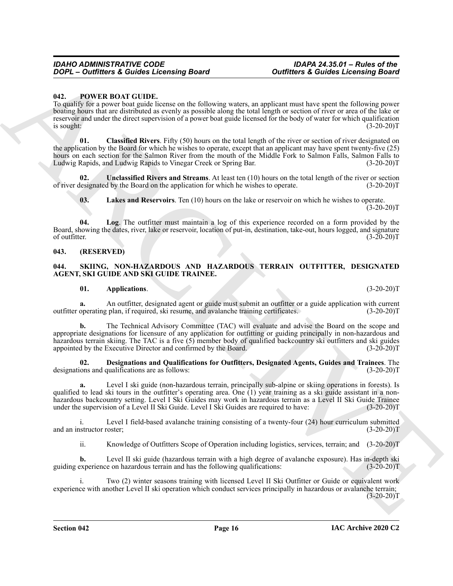#### <span id="page-15-3"></span><span id="page-15-0"></span>**042. POWER BOAT GUIDE.**

To qualify for a power boat guide license on the following waters, an applicant must have spent the following power boating hours that are distributed as evenly as possible along the total length or section of river or area of the lake or reservoir and under the direct supervision of a power boat guide licensed for the body of water for which qualification  $\frac{1}{3}$  is sought:  $(3-20-20)$ T

<span id="page-15-4"></span>**01. Classified Rivers**. Fifty (50) hours on the total length of the river or section of river designated on the application by the Board for which he wishes to operate, except that an applicant may have spent twenty-five (25) hours on each section for the Salmon River from the mouth of the Middle Fork to Salmon Falls, Salmon Falls to<br>Ludwig Rapids, and Ludwig Rapids to Vinegar Creek or Spring Bar. (3-20-20) Ludwig Rapids, and Ludwig Rapids to Vinegar Creek or Spring Bar.

**02. Unclassified Rivers and Streams**. At least ten (10) hours on the total length of the river or section of river designated by the Board on the application for which he wishes to operate. (3-20-20)T

<span id="page-15-7"></span><span id="page-15-6"></span><span id="page-15-5"></span>**03. Lakes and Reservoirs**. Ten (10) hours on the lake or reservoir on which he wishes to operate.  $(3-20-20)$ T

**04. Log**. The outfitter must maintain a log of this experience recorded on a form provided by the Board, showing the dates, river, lake or reservoir, location of put-in, destination, take-out, hours logged, and signature of outfitter.  $(3-20-20)T$ 

#### <span id="page-15-1"></span>**043. (RESERVED)**

#### <span id="page-15-8"></span><span id="page-15-2"></span>**044. SKIING, NON-HAZARDOUS AND HAZARDOUS TERRAIN OUTFITTER, DESIGNATED AGENT, SKI GUIDE AND SKI GUIDE TRAINEE.**

#### <span id="page-15-9"></span>**01. Applications**. (3-20-20)T

**a.** An outfitter, designated agent or guide must submit an outfitter or a guide application with current operating plan, if required, ski resume, and avalanche training certificates. (3-20-20) outfitter operating plan, if required, ski resume, and avalanche training certificates.

**2010**<br>
2010 - **Contribute & Contribute Lecturality these contributes are contributed and the state of the state of the state of the state of the state of the state of the state of the state of the state of the state of t b.** The Technical Advisory Committee (TAC) will evaluate and advise the Board on the scope and appropriate designations for licensure of any application for outfitting or guiding principally in non-hazardous and hazardous terrain skiing. The TAC is a five (5) member body of qualified backcountry ski outfitters and ski guides appointed by the Executive Director and confirmed by the Board. (3-20-20)T

<span id="page-15-10"></span>**02. Designations and Qualifications for Outfitters, Designated Agents, Guides and Trainees**. The designations and qualifications are as follows: (3-20-20)T

<span id="page-15-11"></span>**a.** Level I ski guide (non-hazardous terrain, principally sub-alpine or skiing operations in forests). Is qualified to lead ski tours in the outfitter's operating area. One (1) year training as a ski guide assistant in a nonhazardous backcountry setting. Level I Ski Guides may work in hazardous terrain as a Level II Ski Guide Trainee under the supervision of a Level II Ski Guide. Level I Ski Guides are required to have: (3-20-20)T

i. Level I field-based avalanche training consisting of a twenty-four (24) hour curriculum submitted and an instructor roster; (3-20-20)T

<span id="page-15-12"></span>ii. Knowledge of Outfitters Scope of Operation including logistics, services, terrain; and (3-20-20)T

**b.** Level II ski guide (hazardous terrain with a high degree of avalanche exposure). Has in-depth ski guiding experience on hazardous terrain and has the following qualifications: (3-20-20)T

i. Two (2) winter seasons training with licensed Level II Ski Outfitter or Guide or equivalent work experience with another Level II ski operation which conduct services principally in hazardous or avalanche terrain;  $(3-20-20)T$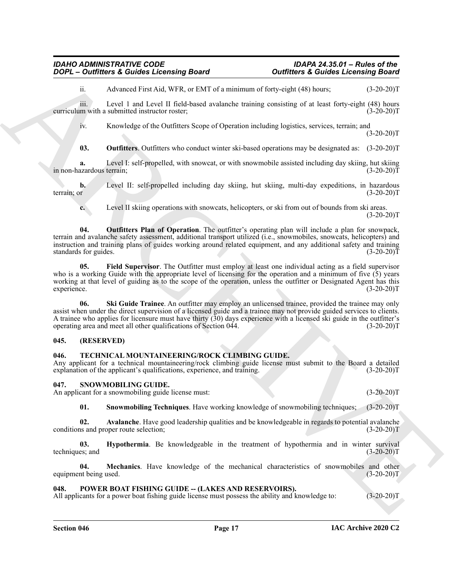ii. Advanced First Aid, WFR, or EMT of a minimum of forty-eight (48) hours; (3-20-20)T

iii. Level 1 and Level II field-based avalanche training consisting of at least forty-eight (48) hours<br>m with a submitted instructor roster: (3-20-20) curriculum with a submitted instructor roster;

iv. Knowledge of the Outfitters Scope of Operation including logistics, services, terrain; and  $(3-20-20)T$ 

<span id="page-16-6"></span>**03. Outfitters**. Outfitters who conduct winter ski-based operations may be designated as: (3-20-20)T

**a.** Level I: self-propelled, with snowcat, or with snowmobile assisted including day skiing, hut skiing azardous terrain; (3-20-20) in non-hazardous terrain;

**b.** Level II: self-propelled including day skiing, hut skiing, multi-day expeditions, in hazardous terrain; or (3-20-20)T

<span id="page-16-7"></span>**c.** Level II skiing operations with snowcats, helicopters, or ski from out of bounds from ski areas.  $(3-20-20)T$ 

**2009** C. **Curriculus & Couldes Lectuality Board**<br>
A Archives & Couldes Lectuality and the studies and constraints of the studies of the studies of the studies of the studies of the studies of the studies of the studies o **04. Outfitters Plan of Operation**. The outfitter's operating plan will include a plan for snowpack, terrain and avalanche safety assessment, additional transport utilized (i.e., snowmobiles, snowcats, helicopters) and instruction and training plans of guides working around related equipment, and any additional safety and training standards for guides.

<span id="page-16-5"></span>**05. Field Supervisor**. The Outfitter must employ at least one individual acting as a field supervisor who is a working Guide with the appropriate level of licensing for the operation and a minimum of five (5) years working at that level of guiding as to the scope of the operation, unless the outfitter or Designated Agent has this experience. (3-20-20)T experience. (3-20-20)T

<span id="page-16-8"></span>**06. Ski Guide Trainee**. An outfitter may employ an unlicensed trainee, provided the trainee may only assist when under the direct supervision of a licensed guide and a trainee may not provide guided services to clients. A trainee who applies for licensure must have thirty  $(30)$  days experience with a licensed ski guide in the outfitter's operating area and meet all other qualifications of Section 044. (3-20-20)T

#### <span id="page-16-0"></span>**045. (RESERVED)**

#### <span id="page-16-14"></span><span id="page-16-1"></span>**046. TECHNICAL MOUNTAINEERING/ROCK CLIMBING GUIDE.**

Any applicant for a technical mountaineering/rock climbing guide license must submit to the Board a detailed explanation of the applicant's qualifications, experience, and training. (3-20-20)T

#### <span id="page-16-9"></span><span id="page-16-2"></span>**047. SNOWMOBILING GUIDE.**

An applicant for a snowmobiling guide license must: (3-20-20)T

<span id="page-16-13"></span><span id="page-16-11"></span><span id="page-16-10"></span>**01. Snowmobiling Techniques**. Have working knowledge of snowmobiling techniques; (3-20-20)T

**02.** Avalanche. Have good leadership qualities and be knowledgeable in regards to potential avalanche is and proper route selection; (3-20-20) conditions and proper route selection;

**03. Hypothermia**. Be knowledgeable in the treatment of hypothermia and in winter survival (3-20-20) techniques; and

<span id="page-16-12"></span>**04. Mechanics**. Have knowledge of the mechanical characteristics of snowmobiles and other equipment being used. (3-20-20)T

#### <span id="page-16-4"></span><span id="page-16-3"></span>048. POWER BOAT FISHING GUIDE -- (LAKES AND RESERVOIRS).

All applicants for a power boat fishing guide license must possess the ability and knowledge to: (3-20-20)T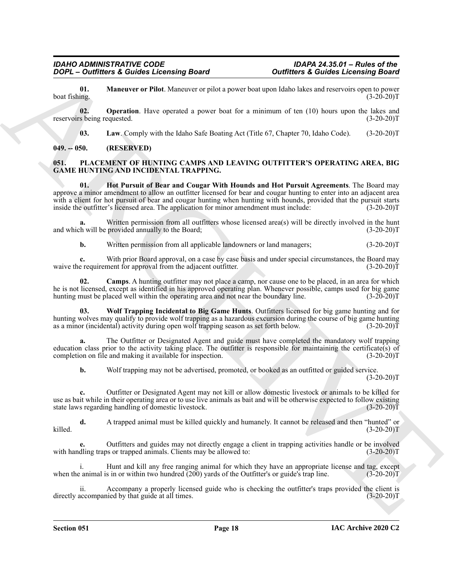<span id="page-17-7"></span>**01. Maneuver or Pilot**. Maneuver or pilot a power boat upon Idaho lakes and reservoirs open to power ing. boat fishing.

**02. Operation**. Have operated a power boat for a minimum of ten (10) hours upon the lakes and reservoirs being requested. (3-20-20)T

<span id="page-17-8"></span><span id="page-17-6"></span><span id="page-17-4"></span><span id="page-17-2"></span>**03.** Law. Comply with the Idaho Safe Boating Act (Title 67, Chapter 70, Idaho Code). (3-20-20)T

#### <span id="page-17-0"></span>**049. -- 050. (RESERVED)**

#### <span id="page-17-1"></span>**051. PLACEMENT OF HUNTING CAMPS AND LEAVING OUTFITTER'S OPERATING AREA, BIG GAME HUNTING AND INCIDENTAL TRAPPING.**

**2008** - **Contribute a Counter of Boston and Boston Contribute a Contribute a Contribute a Contribute a Control of the Control of the Control of the Control of the Control of the Control of the Control of the Control of t 01. Hot Pursuit of Bear and Cougar With Hounds and Hot Pursuit Agreements**. The Board may approve a minor amendment to allow an outfitter licensed for bear and cougar hunting to enter into an adjacent area with a client for hot pursuit of bear and cougar hunting when hunting with hounds, provided that the pursuit starts inside the outfitter's licensed area. The application for minor amendment must include:  $(3-20-20)$ inside the outfitter's licensed area. The application for minor amendment must include:

**a.** Written permission from all outfitters whose licensed area(s) will be directly involved in the hunt h will be provided annually to the Board; (3-20-20) and which will be provided annually to the Board;

<span id="page-17-3"></span>**b.** Written permission from all applicable landowners or land managers; (3-20-20)T

**c.** With prior Board approval, on a case by case basis and under special circumstances, the Board may e requirement for approval from the adjacent outfitter. (3-20-20) waive the requirement for approval from the adjacent outfitter.

**02. Camps**. A hunting outfitter may not place a camp, nor cause one to be placed, in an area for which he is not licensed, except as identified in his approved operating plan. Whenever possible, camps used for big game<br>hunting must be placed well within the operating area and not near the boundary line. (3-20-20) hunting must be placed well within the operating area and not near the boundary line.

<span id="page-17-5"></span>**03. Wolf Trapping Incidental to Big Game Hunts**. Outfitters licensed for big game hunting and for hunting wolves may qualify to provide wolf trapping as a hazardous excursion during the course of big game hunting as a minor (incidental) activity during open wolf trapping season as set forth below. (3-20-20)T

**a.** The Outfitter or Designated Agent and guide must have completed the mandatory wolf trapping education class prior to the activity taking place. The outfitter is responsible for maintaining the certificate(s) of completion on file and making it available for inspection. (3-20-20) completion on file and making it available for inspection.

**b.** Wolf trapping may not be advertised, promoted, or booked as an outfitted or guided service.  $(3-20-20)T$ 

**c.** Outfitter or Designated Agent may not kill or allow domestic livestock or animals to be killed for use as bait while in their operating area or to use live animals as bait and will be otherwise expected to follow existing state laws regarding handling of domestic livestock. (3-20-20) state laws regarding handling of domestic livestock.

**d.** A trapped animal must be killed quickly and humanely. It cannot be released and then "hunted" or killed. (3-20-20)T

Outfitters and guides may not directly engage a client in trapping activities handle or be involved<br>os or trapped animals. Clients may be allowed to: (3-20-20) with handling traps or trapped animals. Clients may be allowed to:

i. Hunt and kill any free ranging animal for which they have an appropriate license and tag, except when the animal is in or within two hundred  $(200)$  yards of the Outfitter's or guide's trap line.  $(3\text{-}20\text{-}20)$ T

ii. Accompany a properly licensed guide who is checking the outfitter's traps provided the client is accompanied by that guide at all times. (3-20-20) directly accompanied by that guide at all times.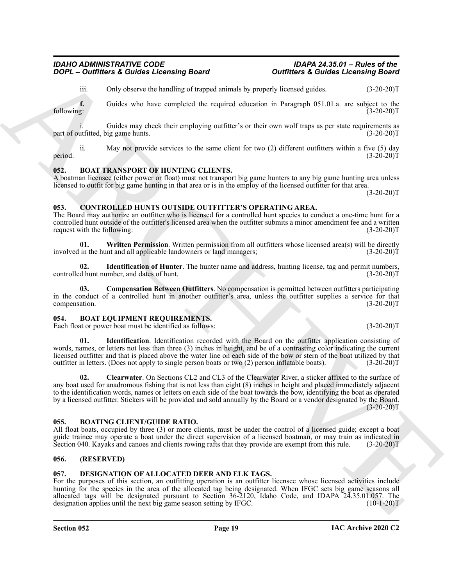iii. Only observe the handling of trapped animals by properly licensed guides. (3-20-20)T

**f.** Guides who have completed the required education in Paragraph 051.01.a. are subject to the following: (3-20-20)T following: (3-20-20)T

Guides may check their employing outfitter's or their own wolf traps as per state requirements as ig game hunts. (3-20-20) part of outfitted, big game hunts.

ii. May not provide services to the same client for two (2) different outfitters within a five (5) day period.  $(3-20-20)T$ 

#### <span id="page-18-9"></span><span id="page-18-0"></span>**052. BOAT TRANSPORT OF HUNTING CLIENTS.**

A boatman licensee (either power or float) must not transport big game hunters to any big game hunting area unless licensed to outfit for big game hunting in that area or is in the employ of the licensed outfitter for that area.  $(3-20-20)T$ 

### <span id="page-18-11"></span><span id="page-18-1"></span>**053. CONTROLLED HUNTS OUTSIDE OUTFITTER'S OPERATING AREA.**

The Board may authorize an outfitter who is licensed for a controlled hunt species to conduct a one-time hunt for a controlled hunt outside of the outfitter's licensed area when the outfitter submits a minor amendment fee and a written request with the following: (3-20-20)T

<span id="page-18-14"></span>**01.** Written Permission. Written permission from all outfitters whose licensed area(s) will be directly in the hunt and all applicable landowners or land managers; (3-20-20)<sup>T</sup> involved in the hunt and all applicable landowners or land managers;

<span id="page-18-13"></span>**02. Identification of Hunter**. The hunter name and address, hunting license, tag and permit numbers, d hunt number, and dates of hunt. controlled hunt number, and dates of hunt.

<span id="page-18-12"></span>**03. Compensation Between Outfitters**. No compensation is permitted between outfitters participating in the conduct of a controlled hunt in another outfitter's area, unless the outfitter supplies a service for that compensation. (3-20-20)T

#### <span id="page-18-6"></span><span id="page-18-2"></span>**054. BOAT EQUIPMENT REQUIREMENTS.**

Each float or power boat must be identified as follows: (3-20-20)T

<span id="page-18-8"></span><span id="page-18-7"></span>**01. Identification**. Identification recorded with the Board on the outfitter application consisting of words, names, or letters not less than three (3) inches in height, and be of a contrasting color indicating the current licensed outfitter and that is placed above the water line on each side of the bow or stern of the boat utilized by that outfitter in letters. (Does not apply to single person boats or two (2) person inflatable boats). (3-20-20)T

**2009**<br>
2009<sup>12</sup> – **Our Britain A. 2008-2 Licensing Board**<br>
2009<sup>12</sup> – **Our Solution A. 2008-2 Licensing Board**<br>
2009<sup>12</sup> – Current A. 2008-2 Conservation A. 2009-2 Licensing Board<br>
2009<sup>12</sup> – Current A. 2008-2 Conservati **02. Clearwater**. On Sections CL2 and CL3 of the Clearwater River, a sticker affixed to the surface of any boat used for anadromous fishing that is not less than eight (8) inches in height and placed immediately adjacent to the identification words, names or letters on each side of the boat towards the bow, identifying the boat as operated by a licensed outfitter. Stickers will be provided and sold annually by the Board or a vendor designated by the Board.  $(3-20-20)T$ 

#### <span id="page-18-10"></span><span id="page-18-3"></span>**055. BOATING CLIENT/GUIDE RATIO.**

All float boats, occupied by three (3) or more clients, must be under the control of a licensed guide; except a boat guide trainee may operate a boat under the direct supervision of a licensed boatman, or may train as indicated in Section 040. Kayaks and canoes and clients rowing rafts that they provide are exempt from this rule. (3-20-20)T

### <span id="page-18-4"></span>**056. (RESERVED)**

#### <span id="page-18-15"></span><span id="page-18-5"></span>**057. DESIGNATION OF ALLOCATED DEER AND ELK TAGS.**

For the purposes of this section, an outfitting operation is an outfitter licensee whose licensed activities include hunting for the species in the area of the allocated tag being designated. When IFGC sets big game seasons all allocated tags will be designated pursuant to Section 36-2120, Idaho Code, and IDAPA 24.35.01.057. The designation applies until the next big game season setting by IFGC. (10-1-20)T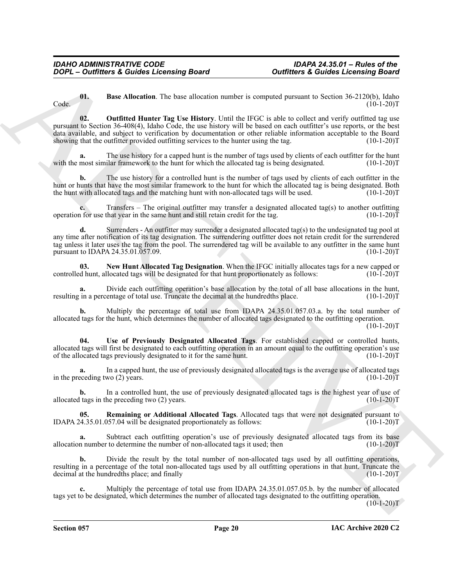<span id="page-19-2"></span><span id="page-19-0"></span>**01. Base Allocation**. The base allocation number is computed pursuant to Section 36-2120(b), Idaho  $\text{Code.}$  (10-1-20)T

**Contribute & Contribute Research in the Southern Process Contribute & Contribute & Contribute Books (1990)**<br>
Crisis and the southern process of the southern contribute control in the southern process (1990) (a) the south **02. Outfitted Hunter Tag Use History**. Until the IFGC is able to collect and verify outfitted tag use pursuant to Section 36-408(4), Idaho Code, the use history will be based on each outfitter's use reports, or the best data available, and subject to verification by documentation or other reliable information acceptable to the Board showing that the outfitter provided outfitting services to the hunter using the tag.  $(10-1-20)T$ 

The use history for a capped hunt is the number of tags used by clients of each outfitter for the hunt ilar framework to the hunt for which the allocated tag is being designated. (10-1-20)T with the most similar framework to the hunt for which the allocated tag is being designated.

**b.** The use history for a controlled hunt is the number of tags used by clients of each outfitter in the hunt or hunts that have the most similar framework to the hunt for which the allocated tag is being designated. Both the hunt with allocated tags and the matching hunt with non-allocated tags will be used. (10-1-20)T

**c.** Transfers – The original outfitter may transfer a designated allocated tag(s) to another outfitting if or use that year in the same hunt and still retain credit for the tag. (10-1-20) operation for use that year in the same hunt and still retain credit for the tag.

**d.** Surrenders - An outfitter may surrender a designated allocated tag(s) to the undesignated tag pool at any time after notification of its tag designation. The surrendering outfitter does not retain credit for the surrendered tag unless it later uses the tag from the pool. The surrendered tag will be available to any outfitter in the same hunt pursuant to IDAPA 24.35.01.057.09. pursuant to IDAPA 24.35.01.057.09.

<span id="page-19-1"></span>**03.** New Hunt Allocated Tag Designation. When the IFGC initially allocates tags for a new capped or d hunt, allocated tags will be designated for that hunt proportionately as follows: (10-1-20) controlled hunt, allocated tags will be designated for that hunt proportionately as follows:

**a.** Divide each outfitting operation's base allocation by the total of all base allocations in the hunt, in a percentage of total use. Truncate the decimal at the hundredths place. (10-1-20) resulting in a percentage of total use. Truncate the decimal at the hundredths place.

**b.** Multiply the percentage of total use from IDAPA 24.35.01.057.03.a. by the total number of allocated tags for the hunt, which determines the number of allocated tags designated to the outfitting operation.  $(10-1-20)T$ 

<span id="page-19-4"></span>**04. Use of Previously Designated Allocated Tags**. For established capped or controlled hunts, allocated tags will first be designated to each outfitting operation in an amount equal to the outfitting operation's use<br>of the allocated tags previously designated to it for the same hunt. of the allocated tags previously designated to it for the same hunt.

In a capped hunt, the use of previously designated allocated tags is the average use of allocated tags wo (2) years. (10-1-20)<sup>T</sup> in the preceding two  $(2)$  years.

**b.** In a controlled hunt, the use of previously designated allocated tags is the highest year of use of ltags in the preceding two (2) years. (10-1-20) allocated tags in the preceding two  $(2)$  years.

<span id="page-19-3"></span>**05. Remaining or Additional Allocated Tags**. Allocated tags that were not designated pursuant to  $(10-1-20)T$ IDAPA  $24.35.01.057.04$  will be designated proportionately as follows:

**a.** Subtract each outfitting operation's use of previously designated allocated tags from its base n number to determine the number of non-allocated tags it used; then (10-1-20) allocation number to determine the number of non-allocated tags it used; then

**b.** Divide the result by the total number of non-allocated tags used by all outfitting operations, resulting in a percentage of the total non-allocated tags used by all outfitting operations in that hunt. Truncate the decimal at the hundredths place; and finally (10-1-20)T

**c.** Multiply the percentage of total use from IDAPA 24.35.01.057.05.b. by the number of allocated tags yet to be designated, which determines the number of allocated tags designated to the outfitting operation.

 $(10-1-20)T$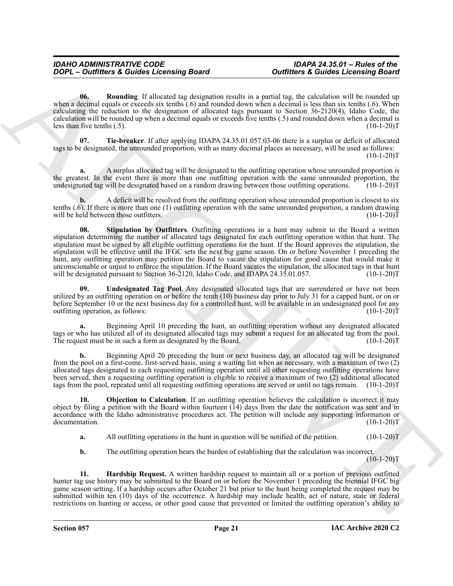<span id="page-20-2"></span>**06. Rounding**. If allocated tag designation results in a partial tag, the calculation will be rounded up when a decimal equals or exceeds six tenths (.6) and rounded down when a decimal is less than six tenths (.6). When calculating the reduction to the designation of allocated tags pursuant to Section 36-2120(4), Idaho Code, the calculation will be rounded up when a decimal equals or exceeds five tenths (.5) and rounded down when a decimal is less than five tenths (.5). (10-1-20)T

<span id="page-20-4"></span>**07. Tie-breaker**. If after applying IDAPA 24.35.01.057.03-06 there is a surplus or deficit of allocated tags to be designated, the unrounded proportion, with as many decimal places as necessary, will be used as follows:  $(10-1-20)T$ 

**a.** A surplus allocated tag will be designated to the outfitting operation whose unrounded proportion is the greatest. In the event there is more than one outfitting operation with the same unrounded proportion, the undesignated tag will be designated based on a random drawing between those outfitting operations. (10-1-20)T

<span id="page-20-3"></span>**b.** A deficit will be resolved from the outfitting operation whose unrounded proportion is closest to six tenths (.6). If there is more than one (1) outfitting operation with the same unrounded proportion, a random drawing will be held between those outfitters. (10-1-20) T

**2007** - **Curities** a Guidea Locensing Board<br>
United states a Counter of Curities a Counter of Curities and the series and the business of the series and the series and the series and the series and the series and the ser **08.** Stipulation by Outfitters. Outfitting operations in a hunt may submit to the Board a written stipulation determining the number of allocated tags designated for each outfitting operation within that hunt. The stipulation must be signed by all eligible outfitting operations for the hunt. If the Board approves the stipulation, the stipulation will be effective until the IFGC sets the next big game season. On or before November 1 preceding the hunt, any outfitting operation may petition the Board to vacate the stipulation for good cause that would make it unconscionable or unjust to enforce the stipulation. If the Board vacates the stipulation, the allocated tags in that hunt will be designated pursuant to Section  $36-2120$ , Idaho Code, and IDAPA 24.35.01.057.

<span id="page-20-5"></span>**09. Undesignated Tag Pool**. Any designated allocated tags that are surrendered or have not been utilized by an outfitting operation on or before the tenth (10) business day prior to July 31 for a capped hunt, or on or before September 10 or the next business day for a controlled hunt, will be available in an undesignated pool for any outfitting operation, as follows: outfitting operation, as follows:

**a.** Beginning April 10 preceding the hunt, an outfitting operation without any designated allocated tags or who has utilized all of its designated allocated tags may submit a request for an allocated tag from the pool.<br>The request must be in such a form as designated by the Board. (10-1-20) The request must be in such a form as designated by the Board.

**b.** Beginning April 20 preceding the hunt or next business day, an allocated tag will be designated from the pool on a first-come, first-served basis, using a waiting list when as necessary, with a maximum of two (2) allocated tags designated to each requesting outfitting operation until all other requesting outfitting operations have been served, then a requesting outfitting operation is eligible to receive a maximum of two (2) additional allocated tags from the pool, repeated until all requesting outfitting operations are served or until no tags remain. (10-1-20)T

**10. Objection to Calculation**. If an outfitting operation believes the calculation is incorrect it may object by filing a petition with the Board within fourteen  $(14)$  days from the date the notification was sent and in accordance with the Idaho administrative procedures act. The petition will include any supporting information or documentation. (10-1-20)T documentation.

<span id="page-20-1"></span>**a.** All outfitting operations in the hunt in question will be notified of the petition. (10-1-20)T

<span id="page-20-0"></span>**b.** The outfitting operation bears the burden of establishing that the calculation was incorrect.

 $(10-1-20)T$ 

**11. Hardship Request.** A written hardship request to maintain all or a portion of previous outfitted hunter tag use history may be submitted to the Board on or before the November 1 preceding the biennial IFGC big game season setting. If a hardship occurs after October 21 but prior to the hunt being completed the request may be submitted within ten (10) days of the occurrence. A hardship may include health, act of nature, state or federal restrictions on hunting or access, or other good cause that prevented or limited the outfitting operation's ability to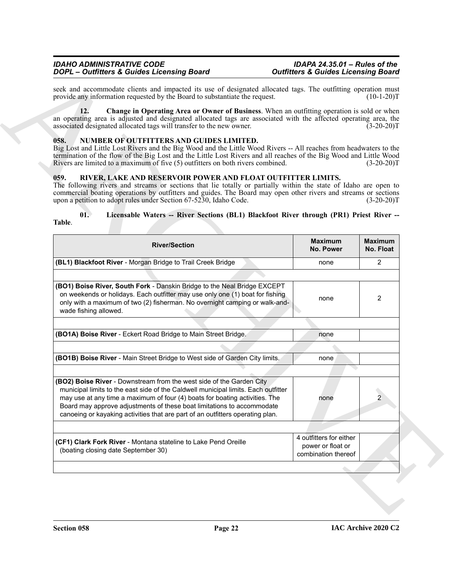#### <span id="page-21-3"></span><span id="page-21-2"></span><span id="page-21-0"></span>**058. NUMBER OF OUTFITTERS AND GUIDES LIMITED.**

#### <span id="page-21-4"></span><span id="page-21-1"></span>**059. RIVER, LAKE AND RESERVOIR POWER AND FLOAT OUTFITTER LIMITS.**

#### <span id="page-21-5"></span>**01. Licensable Waters -- River Sections (BL1) Blackfoot River through (PR1) Priest River -- Table**.

| seek and accommodate clients and impacted its use of designated allocated tags. The outfitting operation must                                                                                                                                                                                                                                                                                         |                                                                     |                             |
|-------------------------------------------------------------------------------------------------------------------------------------------------------------------------------------------------------------------------------------------------------------------------------------------------------------------------------------------------------------------------------------------------------|---------------------------------------------------------------------|-----------------------------|
| provide any information requested by the Board to substantiate the request.                                                                                                                                                                                                                                                                                                                           |                                                                     | $(10-1-20)T$                |
| Change in Operating Area or Owner of Business. When an outfitting operation is sold or when<br>12.<br>an operating area is adjusted and designated allocated tags are associated with the affected operating area, the<br>associated designated allocated tags will transfer to the new owner.                                                                                                        |                                                                     | $(3-20-20)T$                |
| NUMBER OF OUTFITTERS AND GUIDES LIMITED.<br>058.<br>Big Lost and Little Lost Rivers and the Big Wood and the Little Wood Rivers -- All reaches from headwaters to the<br>termination of the flow of the Big Lost and the Little Lost Rivers and all reaches of the Big Wood and Little Wood<br>Rivers are limited to a maximum of five (5) outfitters on both rivers combined.                        |                                                                     | $(3-20-20)T$                |
| 059.<br>RIVER, LAKE AND RESERVOIR POWER AND FLOAT OUTFITTER LIMITS.<br>The following rivers and streams or sections that lie totally or partially within the state of Idaho are open to<br>commercial boating operations by outfitters and guides. The Board may open other rivers and streams or sections<br>upon a petition to adopt rules under Section 67-5230, Idaho Code.                       |                                                                     | $(3-20-20)T$                |
| 01.<br>Licensable Waters -- River Sections (BL1) Blackfoot River through (PR1) Priest River --<br>Table.                                                                                                                                                                                                                                                                                              |                                                                     |                             |
| <b>River/Section</b>                                                                                                                                                                                                                                                                                                                                                                                  | <b>Maximum</b><br>No. Power                                         | <b>Maximum</b><br>No. Float |
| (BL1) Blackfoot River - Morgan Bridge to Trail Creek Bridge                                                                                                                                                                                                                                                                                                                                           | none                                                                | $\overline{2}$              |
|                                                                                                                                                                                                                                                                                                                                                                                                       |                                                                     |                             |
| (BO1) Boise River, South Fork - Danskin Bridge to the Neal Bridge EXCEPT<br>on weekends or holidays. Each outfitter may use only one (1) boat for fishing<br>only with a maximum of two (2) fisherman. No overnight camping or walk-and-<br>wade fishing allowed.                                                                                                                                     | none                                                                | 2                           |
|                                                                                                                                                                                                                                                                                                                                                                                                       |                                                                     |                             |
| (BO1A) Boise River - Eckert Road Bridge to Main Street Bridge.                                                                                                                                                                                                                                                                                                                                        | none                                                                |                             |
|                                                                                                                                                                                                                                                                                                                                                                                                       |                                                                     |                             |
| (BO1B) Boise River - Main Street Bridge to West side of Garden City limits.                                                                                                                                                                                                                                                                                                                           | none                                                                |                             |
|                                                                                                                                                                                                                                                                                                                                                                                                       |                                                                     |                             |
| (BO2) Boise River - Downstream from the west side of the Garden City<br>municipal limits to the east side of the Caldwell municipal limits. Each outfitter<br>may use at any time a maximum of four (4) boats for boating activities. The<br>Board may approve adjustments of these boat limitations to accommodate<br>canoeing or kayaking activities that are part of an outfitters operating plan. | none                                                                |                             |
|                                                                                                                                                                                                                                                                                                                                                                                                       |                                                                     |                             |
| (CF1) Clark Fork River - Montana stateline to Lake Pend Oreille<br>(boating closing date September 30)                                                                                                                                                                                                                                                                                                | 4 outfitters for either<br>power or float or<br>combination thereof |                             |
|                                                                                                                                                                                                                                                                                                                                                                                                       |                                                                     |                             |
|                                                                                                                                                                                                                                                                                                                                                                                                       |                                                                     |                             |
|                                                                                                                                                                                                                                                                                                                                                                                                       |                                                                     |                             |
|                                                                                                                                                                                                                                                                                                                                                                                                       |                                                                     |                             |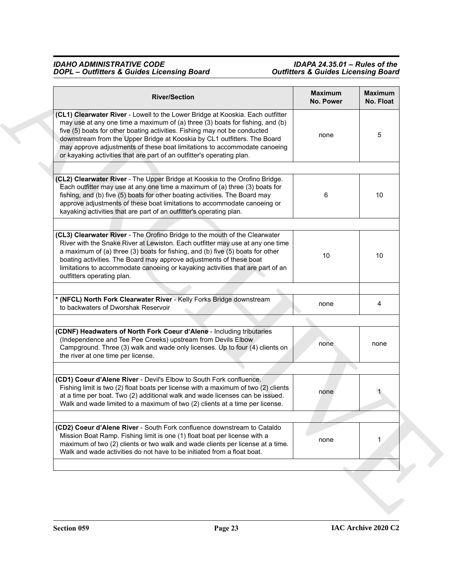| <b>River/Section</b>                                                                                                                                                                                                                                                                                                                                                                                                                                                            | <b>Maximum</b><br>No. Power | <b>Maximum</b><br>No. Float |
|---------------------------------------------------------------------------------------------------------------------------------------------------------------------------------------------------------------------------------------------------------------------------------------------------------------------------------------------------------------------------------------------------------------------------------------------------------------------------------|-----------------------------|-----------------------------|
| (CL1) Clearwater River - Lowell to the Lower Bridge at Kooskia. Each outfitter<br>may use at any one time a maximum of (a) three (3) boats for fishing, and (b)<br>five (5) boats for other boating activities. Fishing may not be conducted<br>downstream from the Upper Bridge at Kooskia by CL1 outfitters. The Board<br>may approve adjustments of these boat limitations to accommodate canoeing<br>or kayaking activities that are part of an outfitter's operating plan. | none                        | 5                           |
|                                                                                                                                                                                                                                                                                                                                                                                                                                                                                 |                             |                             |
| (CL2) Clearwater River - The Upper Bridge at Kooskia to the Orofino Bridge.<br>Each outfitter may use at any one time a maximum of (a) three (3) boats for<br>fishing, and (b) five (5) boats for other boating activities. The Board may<br>approve adjustments of these boat limitations to accommodate canoeing or<br>kayaking activities that are part of an outfitter's operating plan.                                                                                    | 6                           | 10                          |
|                                                                                                                                                                                                                                                                                                                                                                                                                                                                                 |                             |                             |
| (CL3) Clearwater River - The Orofino Bridge to the mouth of the Clearwater<br>River with the Snake River at Lewiston. Each outfitter may use at any one time<br>a maximum of (a) three (3) boats for fishing, and (b) five (5) boats for other<br>boating activities. The Board may approve adjustments of these boat<br>limitations to accommodate canoeing or kayaking activities that are part of an<br>outfitters operating plan.                                           | 10                          | 10                          |
|                                                                                                                                                                                                                                                                                                                                                                                                                                                                                 |                             |                             |
| * (NFCL) North Fork Clearwater River - Kelly Forks Bridge downstream<br>to backwaters of Dworshak Reservoir                                                                                                                                                                                                                                                                                                                                                                     | none                        | 4                           |
|                                                                                                                                                                                                                                                                                                                                                                                                                                                                                 |                             |                             |
| (CDNF) Headwaters of North Fork Coeur d'Alene - Including tributaries<br>(Independence and Tee Pee Creeks) upstream from Devils Elbow<br>Campground. Three (3) walk and wade only licenses. Up to four (4) clients on<br>the river at one time per license.                                                                                                                                                                                                                     | none                        | none                        |
|                                                                                                                                                                                                                                                                                                                                                                                                                                                                                 |                             |                             |
| (CD1) Coeur d'Alene River - Devil's Elbow to South Fork confluence.<br>Fishing limit is two (2) float boats per license with a maximum of two (2) clients<br>at a time per boat. Two (2) additional walk and wade licenses can be issued.<br>Walk and wade limited to a maximum of two (2) clients at a time per license.                                                                                                                                                       | none                        |                             |
|                                                                                                                                                                                                                                                                                                                                                                                                                                                                                 |                             |                             |
| (CD2) Coeur d'Alene River - South Fork confluence downstream to Cataldo<br>Mission Boat Ramp. Fishing limit is one (1) float boat per license with a<br>maximum of two (2) clients or two walk and wade clients per license at a time.<br>Walk and wade activities do not have to be initiated from a float boat.                                                                                                                                                               | none                        | 1                           |
|                                                                                                                                                                                                                                                                                                                                                                                                                                                                                 |                             |                             |
|                                                                                                                                                                                                                                                                                                                                                                                                                                                                                 |                             |                             |
|                                                                                                                                                                                                                                                                                                                                                                                                                                                                                 |                             |                             |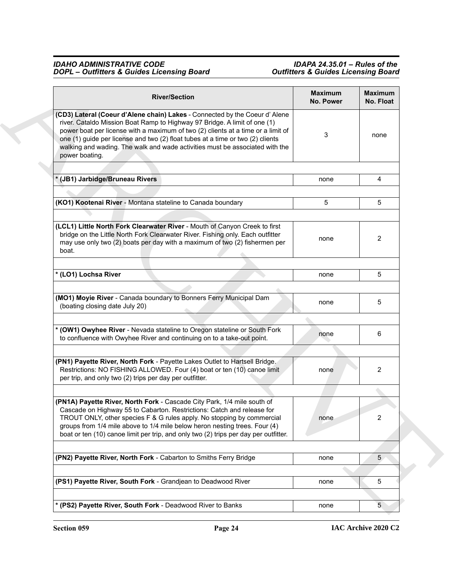| <b>River/Section</b>                                                                                                                                                                                                                                                                                                                                                                                                             | <b>Maximum</b><br>No. Power | <b>Maximum</b><br>No. Float |
|----------------------------------------------------------------------------------------------------------------------------------------------------------------------------------------------------------------------------------------------------------------------------------------------------------------------------------------------------------------------------------------------------------------------------------|-----------------------------|-----------------------------|
| (CD3) Lateral (Coeur d'Alene chain) Lakes - Connected by the Coeur d' Alene<br>river. Cataldo Mission Boat Ramp to Highway 97 Bridge. A limit of one (1)<br>power boat per license with a maximum of two (2) clients at a time or a limit of<br>one (1) guide per license and two (2) float tubes at a time or two (2) clients<br>walking and wading. The walk and wade activities must be associated with the<br>power boating. | 3                           | none                        |
|                                                                                                                                                                                                                                                                                                                                                                                                                                  |                             |                             |
| (JB1) Jarbidge/Bruneau Rivers                                                                                                                                                                                                                                                                                                                                                                                                    | none                        | 4                           |
|                                                                                                                                                                                                                                                                                                                                                                                                                                  |                             |                             |
| (KO1) Kootenai River - Montana stateline to Canada boundary                                                                                                                                                                                                                                                                                                                                                                      | 5                           | 5                           |
|                                                                                                                                                                                                                                                                                                                                                                                                                                  |                             |                             |
| (LCL1) Little North Fork Clearwater River - Mouth of Canyon Creek to first<br>bridge on the Little North Fork Clearwater River. Fishing only. Each outfitter<br>may use only two (2) boats per day with a maximum of two (2) fishermen per<br>boat.                                                                                                                                                                              | none                        | 2                           |
| * (LO1) Lochsa River                                                                                                                                                                                                                                                                                                                                                                                                             | none                        | 5                           |
| (MO1) Moyie River - Canada boundary to Bonners Ferry Municipal Dam<br>(boating closing date July 20)                                                                                                                                                                                                                                                                                                                             | none                        | 5                           |
|                                                                                                                                                                                                                                                                                                                                                                                                                                  |                             |                             |
| (OW1) Owyhee River - Nevada stateline to Oregon stateline or South Fork<br>to confluence with Owyhee River and continuing on to a take-out point.                                                                                                                                                                                                                                                                                | none                        | 6                           |
|                                                                                                                                                                                                                                                                                                                                                                                                                                  |                             |                             |
| (PN1) Payette River, North Fork - Payette Lakes Outlet to Hartsell Bridge.<br>Restrictions: NO FISHING ALLOWED. Four (4) boat or ten (10) canoe limit<br>per trip, and only two (2) trips per day per outfitter.                                                                                                                                                                                                                 | none                        | 2                           |
|                                                                                                                                                                                                                                                                                                                                                                                                                                  |                             |                             |
| (PN1A) Payette River, North Fork - Cascade City Park, 1/4 mile south of<br>Cascade on Highway 55 to Cabarton. Restrictions: Catch and release for<br>TROUT ONLY, other species F & G rules apply. No stopping by commercial<br>groups from 1/4 mile above to 1/4 mile below heron nesting trees. Four (4)<br>boat or ten (10) canoe limit per trip, and only two (2) trips per day per outfitter.                                | none                        | 2                           |
|                                                                                                                                                                                                                                                                                                                                                                                                                                  |                             |                             |
| (PN2) Payette River, North Fork - Cabarton to Smiths Ferry Bridge                                                                                                                                                                                                                                                                                                                                                                | none                        | 5 <sub>1</sub>              |
| (PS1) Payette River, South Fork - Grandjean to Deadwood River                                                                                                                                                                                                                                                                                                                                                                    | none                        | 5                           |
|                                                                                                                                                                                                                                                                                                                                                                                                                                  |                             |                             |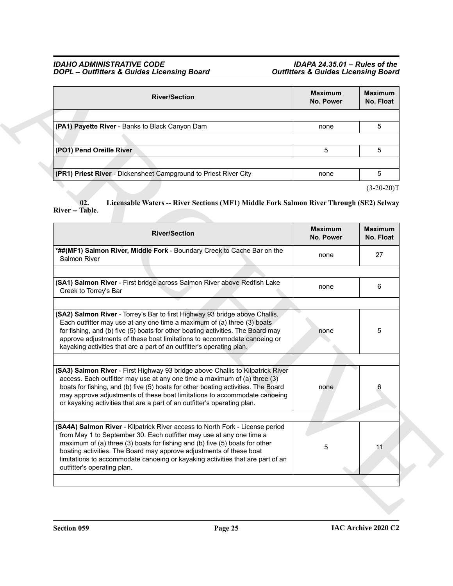| <b>River/Section</b>                                             | <b>Maximum</b><br><b>No. Power</b> | <b>Maximum</b><br>No. Float |
|------------------------------------------------------------------|------------------------------------|-----------------------------|
|                                                                  |                                    |                             |
| (PA1) Payette River - Banks to Black Canyon Dam                  | none                               | 5                           |
|                                                                  |                                    |                             |
| (PO1) Pend Oreille River                                         | 5                                  | 5                           |
|                                                                  |                                    |                             |
| (PR1) Priest River - Dickensheet Campground to Priest River City | none                               | 5                           |
|                                                                  |                                    |                             |

### <span id="page-24-0"></span>**02. Licensable Waters -- River Sections (MF1) Middle Fork Salmon River Through (SE2) Selway River -- Table**.

| <b>River/Section</b>                                                                                                                                                                                                                                                                                                                                                                                      | <b>Maximum</b><br>No. Power | Maximum<br>No. Float           |
|-----------------------------------------------------------------------------------------------------------------------------------------------------------------------------------------------------------------------------------------------------------------------------------------------------------------------------------------------------------------------------------------------------------|-----------------------------|--------------------------------|
|                                                                                                                                                                                                                                                                                                                                                                                                           |                             |                                |
| (PA1) Payette River - Banks to Black Canyon Dam                                                                                                                                                                                                                                                                                                                                                           | none                        | 5                              |
|                                                                                                                                                                                                                                                                                                                                                                                                           |                             |                                |
| (PO1) Pend Oreille River                                                                                                                                                                                                                                                                                                                                                                                  | 5                           | 5                              |
|                                                                                                                                                                                                                                                                                                                                                                                                           |                             |                                |
| (PR1) Priest River - Dickensheet Campground to Priest River City                                                                                                                                                                                                                                                                                                                                          | none                        | 5                              |
| Licensable Waters -- River Sections (MF1) Middle Fork Salmon River Through (SE2) Selway<br>02.<br>River -- Table.<br><b>River/Section</b>                                                                                                                                                                                                                                                                 | <b>Maximum</b>              | $(3-20-20)T$<br><b>Maximum</b> |
|                                                                                                                                                                                                                                                                                                                                                                                                           | <b>No. Power</b>            | No. Float                      |
| *##(MF1) Salmon River, Middle Fork - Boundary Creek to Cache Bar on the<br>Salmon River                                                                                                                                                                                                                                                                                                                   | none                        | 27                             |
|                                                                                                                                                                                                                                                                                                                                                                                                           |                             |                                |
| (SA1) Salmon River - First bridge across Salmon River above Redfish Lake<br>Creek to Torrey's Bar                                                                                                                                                                                                                                                                                                         | none                        | 6                              |
|                                                                                                                                                                                                                                                                                                                                                                                                           |                             |                                |
| (SA2) Salmon River - Torrey's Bar to first Highway 93 bridge above Challis.<br>Each outfitter may use at any one time a maximum of (a) three (3) boats<br>for fishing, and (b) five (5) boats for other boating activities. The Board may<br>approve adjustments of these boat limitations to accommodate canoeing or<br>kayaking activities that are a part of an outfitter's operating plan.            | none                        | 5                              |
|                                                                                                                                                                                                                                                                                                                                                                                                           |                             |                                |
| (SA3) Salmon River - First Highway 93 bridge above Challis to Kilpatrick River<br>access. Each outfitter may use at any one time a maximum of (a) three (3)<br>boats for fishing, and (b) five (5) boats for other boating activities. The Board<br>may approve adjustments of these boat limitations to accommodate canoeing<br>or kayaking activities that are a part of an outfitter's operating plan. | none                        | 6                              |
|                                                                                                                                                                                                                                                                                                                                                                                                           |                             |                                |
| (SA4A) Salmon River - Kilpatrick River access to North Fork - License period<br>from May 1 to September 30. Each outfitter may use at any one time a<br>maximum of (a) three (3) boats for fishing and (b) five (5) boats for other<br>boating activities. The Board may approve adjustments of these boat<br>limitations to accommodate canoeing or kayaking activities that are part of an              | 5                           | 11                             |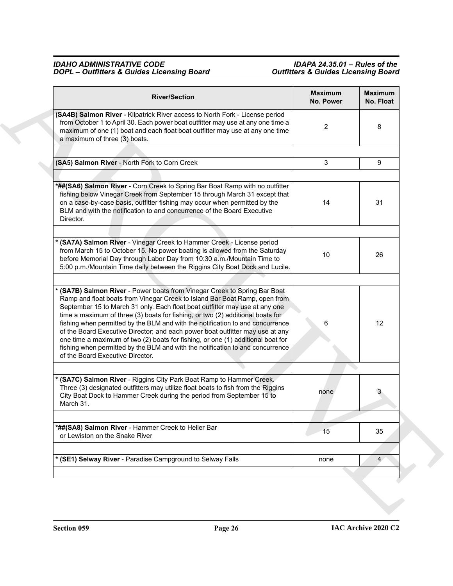| <b>River/Section</b>                                                                                                                                                                                                                                                                                                                                                                                                                                                                                                                                                                                                                                                                               | <b>Maximum</b><br>No. Power | <b>Maximum</b><br>No. Float |
|----------------------------------------------------------------------------------------------------------------------------------------------------------------------------------------------------------------------------------------------------------------------------------------------------------------------------------------------------------------------------------------------------------------------------------------------------------------------------------------------------------------------------------------------------------------------------------------------------------------------------------------------------------------------------------------------------|-----------------------------|-----------------------------|
| (SA4B) Salmon River - Kilpatrick River access to North Fork - License period<br>from October 1 to April 30. Each power boat outfitter may use at any one time a<br>maximum of one (1) boat and each float boat outfitter may use at any one time<br>a maximum of three (3) boats.                                                                                                                                                                                                                                                                                                                                                                                                                  | 2                           | 8                           |
| (SA5) Salmon River - North Fork to Corn Creek                                                                                                                                                                                                                                                                                                                                                                                                                                                                                                                                                                                                                                                      | 3                           | 9                           |
| *##(SA6) Salmon River - Corn Creek to Spring Bar Boat Ramp with no outfitter<br>fishing below Vinegar Creek from September 15 through March 31 except that<br>on a case-by-case basis, outfitter fishing may occur when permitted by the<br>BLM and with the notification to and concurrence of the Board Executive<br>Director.                                                                                                                                                                                                                                                                                                                                                                   | 14                          | 31                          |
| * (SA7A) Salmon River - Vinegar Creek to Hammer Creek - License period<br>from March 15 to October 15. No power boating is allowed from the Saturday<br>before Memorial Day through Labor Day from 10:30 a.m./Mountain Time to<br>5:00 p.m./Mountain Time daily between the Riggins City Boat Dock and Lucile.                                                                                                                                                                                                                                                                                                                                                                                     | 10                          | 26                          |
| (SA7B) Salmon River - Power boats from Vinegar Creek to Spring Bar Boat<br>Ramp and float boats from Vinegar Creek to Island Bar Boat Ramp, open from<br>September 15 to March 31 only. Each float boat outfitter may use at any one<br>time a maximum of three (3) boats for fishing, or two (2) additional boats for<br>fishing when permitted by the BLM and with the notification to and concurrence<br>of the Board Executive Director; and each power boat outfitter may use at any<br>one time a maximum of two (2) boats for fishing, or one (1) additional boat for<br>fishing when permitted by the BLM and with the notification to and concurrence<br>of the Board Executive Director. | 6                           | $12 \overline{ }$           |
| * (SA7C) Salmon River - Riggins City Park Boat Ramp to Hammer Creek.<br>Three (3) designated outfitters may utilize float boats to fish from the Riggins<br>City Boat Dock to Hammer Creek during the period from September 15 to<br>March 31.                                                                                                                                                                                                                                                                                                                                                                                                                                                     | none                        | 3 <sup>2</sup>              |
| *##(SA8) Salmon River - Hammer Creek to Heller Bar<br>or Lewiston on the Snake River                                                                                                                                                                                                                                                                                                                                                                                                                                                                                                                                                                                                               | 15                          | 35                          |
| * (SE1) Selway River - Paradise Campground to Selway Falls                                                                                                                                                                                                                                                                                                                                                                                                                                                                                                                                                                                                                                         | none                        | $\overline{4}$              |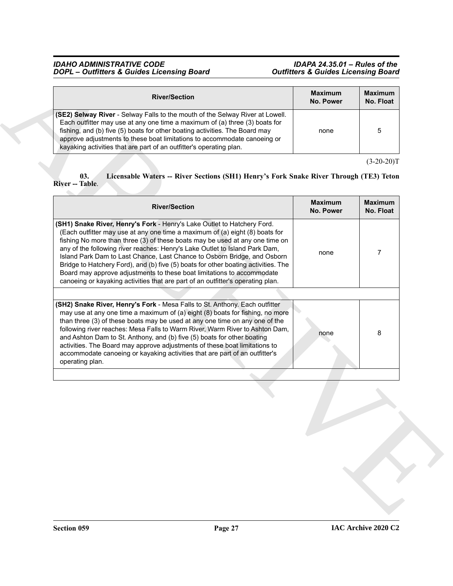| <b>River/Section</b>                                                                                                                                                                                                                                                                                                                                                                                  | <b>Maximum</b><br>No. Power | <b>Maximum</b><br>No. Float |
|-------------------------------------------------------------------------------------------------------------------------------------------------------------------------------------------------------------------------------------------------------------------------------------------------------------------------------------------------------------------------------------------------------|-----------------------------|-----------------------------|
| <b>(SE2) Selway River</b> - Selway Falls to the mouth of the Selway River at Lowell.<br>Each outfitter may use at any one time a maximum of (a) three (3) boats for<br>fishing, and (b) five (5) boats for other boating activities. The Board may<br>approve adjustments to these boat limitations to accommodate canoeing or<br>kayaking activities that are part of an outfitter's operating plan. | none                        | 5                           |

#### <span id="page-26-0"></span>**03. Licensable Waters -- River Sections (SH1) Henry's Fork Snake River Through (TE3) Teton River -- Table**.

| <b>River/Section</b>                                                                                                                                                                                                                                                                                                                                                                                                                                                                                                                                                                                                                                  | <b>Maximum</b><br>No. Power | <b>Maximum</b><br>No. Float |
|-------------------------------------------------------------------------------------------------------------------------------------------------------------------------------------------------------------------------------------------------------------------------------------------------------------------------------------------------------------------------------------------------------------------------------------------------------------------------------------------------------------------------------------------------------------------------------------------------------------------------------------------------------|-----------------------------|-----------------------------|
| (SE2) Selway River - Selway Falls to the mouth of the Selway River at Lowell.<br>Each outfitter may use at any one time a maximum of (a) three (3) boats for<br>fishing, and (b) five (5) boats for other boating activities. The Board may<br>approve adjustments to these boat limitations to accommodate canoeing or<br>kayaking activities that are part of an outfitter's operating plan.                                                                                                                                                                                                                                                        | none                        | 5                           |
| 03.<br>Licensable Waters -- River Sections (SH1) Henry's Fork Snake River Through (TE3) Teton<br>River -- Table.                                                                                                                                                                                                                                                                                                                                                                                                                                                                                                                                      |                             | $(3-20-20)T$                |
| <b>River/Section</b>                                                                                                                                                                                                                                                                                                                                                                                                                                                                                                                                                                                                                                  | <b>Maximum</b><br>No. Power | <b>Maximum</b><br>No. Float |
| (SH1) Snake River, Henry's Fork - Henry's Lake Outlet to Hatchery Ford.<br>(Each outfitter may use at any one time a maximum of (a) eight (8) boats for<br>fishing No more than three (3) of these boats may be used at any one time on<br>any of the following river reaches: Henry's Lake Outlet to Island Park Dam,<br>Island Park Dam to Last Chance, Last Chance to Osborn Bridge, and Osborn<br>Bridge to Hatchery Ford), and (b) five (5) boats for other boating activities. The<br>Board may approve adjustments to these boat limitations to accommodate<br>canoeing or kayaking activities that are part of an outfitter's operating plan. | none                        | $\overline{7}$              |
|                                                                                                                                                                                                                                                                                                                                                                                                                                                                                                                                                                                                                                                       |                             |                             |
| (SH2) Snake River, Henry's Fork - Mesa Falls to St. Anthony. Each outfitter<br>may use at any one time a maximum of (a) eight (8) boats for fishing, no more<br>than three (3) of these boats may be used at any one time on any one of the<br>following river reaches: Mesa Falls to Warm River, Warm River to Ashton Dam,<br>and Ashton Dam to St. Anthony, and (b) five (5) boats for other boating<br>activities. The Board may approve adjustments of these boat limitations to<br>accommodate canoeing or kayaking activities that are part of an outfitter's<br>operating plan.                                                                | none                        | 8                           |
|                                                                                                                                                                                                                                                                                                                                                                                                                                                                                                                                                                                                                                                       |                             |                             |
|                                                                                                                                                                                                                                                                                                                                                                                                                                                                                                                                                                                                                                                       |                             |                             |
|                                                                                                                                                                                                                                                                                                                                                                                                                                                                                                                                                                                                                                                       |                             |                             |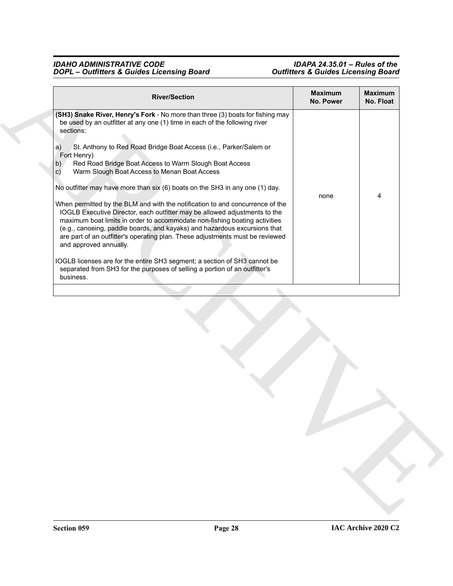| (SH3) Snake River, Henry's Fork - No more than three (3) boats for fishing may<br>be used by an outfitter at any one (1) time in each of the following river<br>sections:<br>St. Anthony to Red Road Bridge Boat Access (i.e., Parker/Salem or<br>a)<br>Fort Henry)<br>Red Road Bridge Boat Access to Warm Slough Boat Access<br>b)<br>Warm Slough Boat Access to Menan Boat Access<br>$\vert$ C)<br>No outfitter may have more than six (6) boats on the SH3 in any one (1) day.<br>4<br>none<br>When permitted by the BLM and with the notification to and concurrence of the<br>IOGLB Executive Director, each outfitter may be allowed adjustments to the<br>maximum boat limits in order to accommodate non-fishing boating activities<br>(e.g., canoeing, paddle boards, and kayaks) and hazardous excursions that<br>are part of an outfitter's operating plan. These adjustments must be reviewed<br>and approved annually.<br>IOGLB licenses are for the entire SH3 segment; a section of SH3 cannot be<br>separated from SH3 for the purposes of selling a portion of an outfitter's<br>business. |
|-------------------------------------------------------------------------------------------------------------------------------------------------------------------------------------------------------------------------------------------------------------------------------------------------------------------------------------------------------------------------------------------------------------------------------------------------------------------------------------------------------------------------------------------------------------------------------------------------------------------------------------------------------------------------------------------------------------------------------------------------------------------------------------------------------------------------------------------------------------------------------------------------------------------------------------------------------------------------------------------------------------------------------------------------------------------------------------------------------------|
|                                                                                                                                                                                                                                                                                                                                                                                                                                                                                                                                                                                                                                                                                                                                                                                                                                                                                                                                                                                                                                                                                                             |
|                                                                                                                                                                                                                                                                                                                                                                                                                                                                                                                                                                                                                                                                                                                                                                                                                                                                                                                                                                                                                                                                                                             |
|                                                                                                                                                                                                                                                                                                                                                                                                                                                                                                                                                                                                                                                                                                                                                                                                                                                                                                                                                                                                                                                                                                             |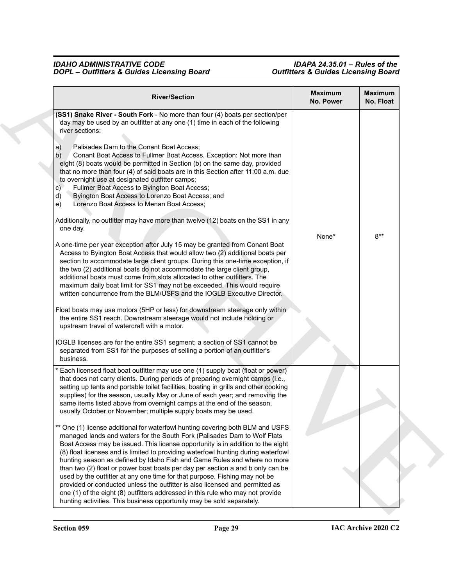| <b>River/Section</b>                                                                                                                                                                                                                                                                                                                                                                                                                                                                                                                                                                                                                                                                                                                                                                                                                                                                                                                                                                                                                                                                                                                                                                                                                                                                                                                                                                                                                                                                                                                                                              | <b>Maximum</b><br>No. Power | Maximum<br>No. Float |
|-----------------------------------------------------------------------------------------------------------------------------------------------------------------------------------------------------------------------------------------------------------------------------------------------------------------------------------------------------------------------------------------------------------------------------------------------------------------------------------------------------------------------------------------------------------------------------------------------------------------------------------------------------------------------------------------------------------------------------------------------------------------------------------------------------------------------------------------------------------------------------------------------------------------------------------------------------------------------------------------------------------------------------------------------------------------------------------------------------------------------------------------------------------------------------------------------------------------------------------------------------------------------------------------------------------------------------------------------------------------------------------------------------------------------------------------------------------------------------------------------------------------------------------------------------------------------------------|-----------------------------|----------------------|
| (SS1) Snake River - South Fork - No more than four (4) boats per section/per<br>day may be used by an outfitter at any one (1) time in each of the following<br>river sections:<br>Palisades Dam to the Conant Boat Access;<br>a)<br>Conant Boat Access to Fullmer Boat Access. Exception: Not more than<br>b)<br>eight (8) boats would be permitted in Section (b) on the same day, provided<br>that no more than four (4) of said boats are in this Section after 11:00 a.m. due<br>to overnight use at designated outfitter camps;<br>Fullmer Boat Access to Byington Boat Access;<br>C)<br>Byington Boat Access to Lorenzo Boat Access; and<br>d)<br>Lorenzo Boat Access to Menan Boat Access;<br>e)<br>Additionally, no outfitter may have more than twelve (12) boats on the SS1 in any<br>one day.<br>A one-time per year exception after July 15 may be granted from Conant Boat<br>Access to Byington Boat Access that would allow two (2) additional boats per<br>section to accommodate large client groups. During this one-time exception, if<br>the two (2) additional boats do not accommodate the large client group,<br>additional boats must come from slots allocated to other outfitters. The<br>maximum daily boat limit for SS1 may not be exceeded. This would require<br>written concurrence from the BLM/USFS and the IOGLB Executive Director.<br>Float boats may use motors (5HP or less) for downstream steerage only within<br>the entire SS1 reach. Downstream steerage would not include holding or<br>upstream travel of watercraft with a motor. | None*                       | $8**$                |
| IOGLB licenses are for the entire SS1 segment; a section of SS1 cannot be                                                                                                                                                                                                                                                                                                                                                                                                                                                                                                                                                                                                                                                                                                                                                                                                                                                                                                                                                                                                                                                                                                                                                                                                                                                                                                                                                                                                                                                                                                         |                             |                      |
| separated from SS1 for the purposes of selling a portion of an outfitter's<br>business.<br>Each licensed float boat outfitter may use one (1) supply boat (float or power)<br>that does not carry clients. During periods of preparing overnight camps (i.e.,<br>setting up tents and portable toilet facilities, boating in grills and other cooking<br>supplies) for the season, usually May or June of each year; and removing the<br>same items listed above from overnight camps at the end of the season,<br>usually October or November; multiple supply boats may be used.                                                                                                                                                                                                                                                                                                                                                                                                                                                                                                                                                                                                                                                                                                                                                                                                                                                                                                                                                                                                |                             |                      |
| ** One (1) license additional for waterfowl hunting covering both BLM and USFS<br>managed lands and waters for the South Fork (Palisades Dam to Wolf Flats<br>Boat Access may be issued. This license opportunity is in addition to the eight<br>(8) float licenses and is limited to providing waterfowl hunting during waterfowl<br>hunting season as defined by Idaho Fish and Game Rules and where no more<br>than two (2) float or power boat boats per day per section a and b only can be<br>used by the outfitter at any one time for that purpose. Fishing may not be<br>provided or conducted unless the outfitter is also licensed and permitted as<br>one (1) of the eight (8) outfitters addressed in this rule who may not provide<br>hunting activities. This business opportunity may be sold separately.                                                                                                                                                                                                                                                                                                                                                                                                                                                                                                                                                                                                                                                                                                                                                         |                             |                      |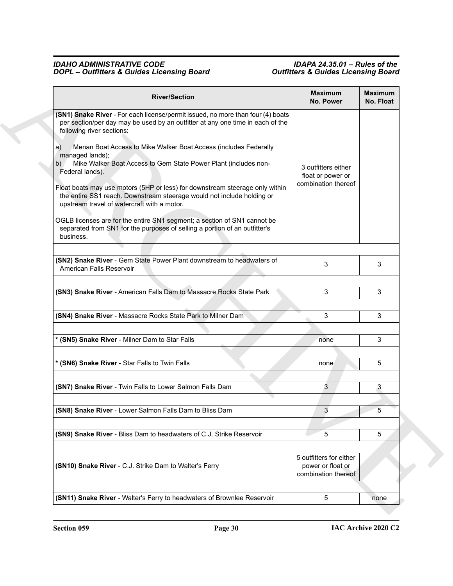| <b>River/Section</b>                                                                                                                                                                                  | <b>Maximum</b><br>No. Power                                         | <b>Maximum</b><br>No. Float |
|-------------------------------------------------------------------------------------------------------------------------------------------------------------------------------------------------------|---------------------------------------------------------------------|-----------------------------|
| (SN1) Snake River - For each license/permit issued, no more than four (4) boats<br>per section/per day may be used by an outfitter at any one time in each of the<br>following river sections:        |                                                                     |                             |
| Menan Boat Access to Mike Walker Boat Access (includes Federally<br>a)<br>managed lands);<br>Mike Walker Boat Access to Gem State Power Plant (includes non-<br>b)<br>Federal lands).                 | 3 outfitters either<br>float or power or                            |                             |
| Float boats may use motors (5HP or less) for downstream steerage only within<br>the entire SS1 reach. Downstream steerage would not include holding or<br>upstream travel of watercraft with a motor. | combination thereof                                                 |                             |
| OGLB licenses are for the entire SN1 segment; a section of SN1 cannot be<br>separated from SN1 for the purposes of selling a portion of an outfitter's<br>business.                                   |                                                                     |                             |
| (SN2) Snake River - Gem State Power Plant downstream to headwaters of<br>American Falls Reservoir                                                                                                     | 3                                                                   | 3                           |
|                                                                                                                                                                                                       |                                                                     |                             |
| (SN3) Snake River - American Falls Dam to Massacre Rocks State Park                                                                                                                                   | 3                                                                   | 3                           |
|                                                                                                                                                                                                       |                                                                     |                             |
| (SN4) Snake River - Massacre Rocks State Park to Milner Dam                                                                                                                                           | 3                                                                   | 3                           |
| * (SN5) Snake River - Milner Dam to Star Falls                                                                                                                                                        | none                                                                | 3                           |
|                                                                                                                                                                                                       |                                                                     |                             |
| * (SN6) Snake River - Star Falls to Twin Falls                                                                                                                                                        | none                                                                | 5                           |
|                                                                                                                                                                                                       |                                                                     |                             |
| (SN7) Snake River - Twin Falls to Lower Salmon Falls Dam                                                                                                                                              | 3                                                                   | 3                           |
| (SN8) Snake River - Lower Salmon Falls Dam to Bliss Dam                                                                                                                                               | 3                                                                   | 5                           |
|                                                                                                                                                                                                       |                                                                     |                             |
| (SN9) Snake River - Bliss Dam to headwaters of C.J. Strike Reservoir                                                                                                                                  | 5                                                                   | 5                           |
|                                                                                                                                                                                                       |                                                                     |                             |
| (SN10) Snake River - C.J. Strike Dam to Walter's Ferry                                                                                                                                                | 5 outfitters for either<br>power or float or<br>combination thereof |                             |
| (SN11) Snake River - Walter's Ferry to headwaters of Brownlee Reservoir                                                                                                                               | 5                                                                   | none                        |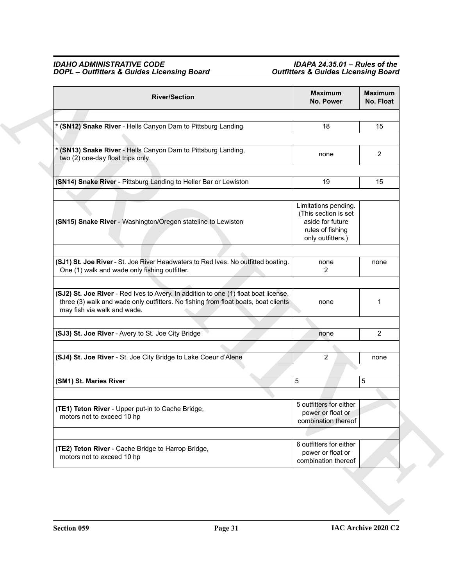| <b>River/Section</b>                                                                                                                                                                                     | <b>Maximum</b><br>No. Power                                                                               | <b>Maximum</b><br>No. Float |  |
|----------------------------------------------------------------------------------------------------------------------------------------------------------------------------------------------------------|-----------------------------------------------------------------------------------------------------------|-----------------------------|--|
|                                                                                                                                                                                                          |                                                                                                           |                             |  |
| * (SN12) Snake River - Hells Canyon Dam to Pittsburg Landing                                                                                                                                             | 18                                                                                                        | 15                          |  |
|                                                                                                                                                                                                          |                                                                                                           |                             |  |
| (SN13) Snake River - Hells Canyon Dam to Pittsburg Landing,<br>two (2) one-day float trips only                                                                                                          | none                                                                                                      | $\overline{2}$              |  |
|                                                                                                                                                                                                          |                                                                                                           |                             |  |
| (SN14) Snake River - Pittsburg Landing to Heller Bar or Lewiston                                                                                                                                         | 19                                                                                                        | 15                          |  |
|                                                                                                                                                                                                          |                                                                                                           |                             |  |
| (SN15) Snake River - Washington/Oregon stateline to Lewiston                                                                                                                                             | Limitations pending.<br>(This section is set<br>aside for future<br>rules of fishing<br>only outfitters.) |                             |  |
|                                                                                                                                                                                                          |                                                                                                           |                             |  |
| (SJ1) St. Joe River - St. Joe River Headwaters to Red Ives. No outfitted boating.<br>One (1) walk and wade only fishing outfitter.                                                                       | none<br>2                                                                                                 | none                        |  |
|                                                                                                                                                                                                          |                                                                                                           |                             |  |
| (SJ2) St. Joe River - Red Ives to Avery. In addition to one (1) float boat license,<br>three (3) walk and wade only outfitters. No fishing from float boats, boat clients<br>may fish via walk and wade. | none                                                                                                      | 1                           |  |
|                                                                                                                                                                                                          |                                                                                                           |                             |  |
| (SJ3) St. Joe River - Avery to St. Joe City Bridge                                                                                                                                                       | none                                                                                                      | $\overline{2}$              |  |
|                                                                                                                                                                                                          |                                                                                                           |                             |  |
| (SJ4) St. Joe River - St. Joe City Bridge to Lake Coeur d'Alene                                                                                                                                          | 2                                                                                                         | none                        |  |
|                                                                                                                                                                                                          |                                                                                                           |                             |  |
| (SM1) St. Maries River                                                                                                                                                                                   | 5                                                                                                         | 5                           |  |
|                                                                                                                                                                                                          |                                                                                                           |                             |  |
| (TE1) Teton River - Upper put-in to Cache Bridge,<br>motors not to exceed 10 hp                                                                                                                          | 5 outfitters for either<br>power or float or<br>combination thereof                                       |                             |  |
|                                                                                                                                                                                                          |                                                                                                           |                             |  |
| (TE2) Teton River - Cache Bridge to Harrop Bridge,<br>motors not to exceed 10 hp                                                                                                                         | 6 outfitters for either<br>power or float or<br>combination thereof                                       |                             |  |
|                                                                                                                                                                                                          |                                                                                                           |                             |  |
|                                                                                                                                                                                                          |                                                                                                           |                             |  |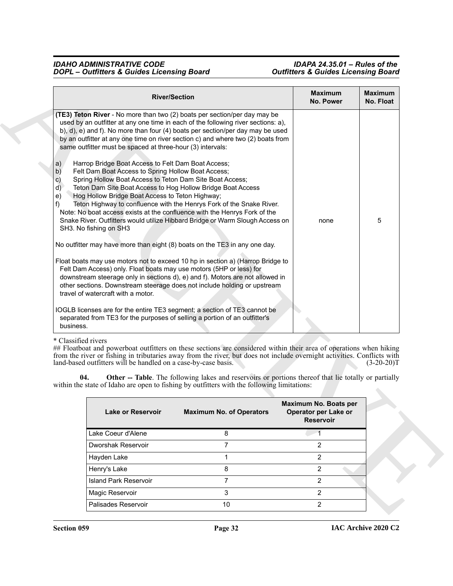| (TE3) Teton River - No more than two (2) boats per section/per day may be<br>used by an outfitter at any one time in each of the following river sections: a),<br>b), d), e) and f). No more than four (4) boats per section/per day may be used<br>by an outfitter at any one time on river section c) and where two (2) boats from<br>Spring Hollow Boat Access to Teton Dam Site Boat Access;<br>Teton Dam Site Boat Access to Hog Hollow Bridge Boat Access<br>Teton Highway to confluence with the Henrys Fork of the Snake River.<br>Note: No boat access exists at the confluence with the Henrys Fork of the<br>Snake River. Outfitters would utilize Hibbard Bridge or Warm Slough Access on | same outfitter must be spaced at three-hour (3) intervals:<br>Harrop Bridge Boat Access to Felt Dam Boat Access;<br>Felt Dam Boat Access to Spring Hollow Boat Access;<br>Hog Hollow Bridge Boat Access to Teton Highway;                                                                                                                                                                                                                                                                                                                                                                                                                                                                                                                                                                                                                                                                                                                                                                                           |
|-------------------------------------------------------------------------------------------------------------------------------------------------------------------------------------------------------------------------------------------------------------------------------------------------------------------------------------------------------------------------------------------------------------------------------------------------------------------------------------------------------------------------------------------------------------------------------------------------------------------------------------------------------------------------------------------------------|---------------------------------------------------------------------------------------------------------------------------------------------------------------------------------------------------------------------------------------------------------------------------------------------------------------------------------------------------------------------------------------------------------------------------------------------------------------------------------------------------------------------------------------------------------------------------------------------------------------------------------------------------------------------------------------------------------------------------------------------------------------------------------------------------------------------------------------------------------------------------------------------------------------------------------------------------------------------------------------------------------------------|
|                                                                                                                                                                                                                                                                                                                                                                                                                                                                                                                                                                                                                                                                                                       | SH3. No fishing on SH3<br>travel of watercraft with a motor.<br>business.<br>* Classified rivers<br>land-based outfitters will be handled on a case-by-case basis.                                                                                                                                                                                                                                                                                                                                                                                                                                                                                                                                                                                                                                                                                                                                                                                                                                                  |
|                                                                                                                                                                                                                                                                                                                                                                                                                                                                                                                                                                                                                                                                                                       | No outfitter may have more than eight (8) boats on the TE3 in any one day.<br>Float boats may use motors not to exceed 10 hp in section a) (Harrop Bridge to<br>Felt Dam Access) only. Float boats may use motors (5HP or less) for<br>downstream steerage only in sections d), e) and f). Motors are not allowed in<br>other sections. Downstream steerage does not include holding or upstream<br>IOGLB licenses are for the entire TE3 segment; a section of TE3 cannot be<br>separated from TE3 for the purposes of selling a portion of an outfitter's<br>## Floatboat and powerboat outfitters on these sections are considered within their area of operations when hiking<br>from the river or fishing in tributaries away from the river, but does not include overnight activities. Conflicts with<br>Other -- Table. The following lakes and reservoirs or portions thereof that lie totally or partially<br>within the state of Idaho are open to fishing by outfitters with the following limitations: |

### \* Classified rivers

<span id="page-31-0"></span>

| Lake or Reservoir            | <b>Maximum No. of Operators</b> | Maximum No. Boats per<br>Operator per Lake or<br><b>Reservoir</b> |
|------------------------------|---------------------------------|-------------------------------------------------------------------|
| Lake Coeur d'Alene           | 8                               |                                                                   |
| Dworshak Reservoir           |                                 | $\mathcal{P}$                                                     |
| Hayden Lake                  |                                 | 2                                                                 |
| Henry's Lake                 | 8                               | 2                                                                 |
| <b>Island Park Reservoir</b> | 7                               | 2                                                                 |
| Magic Reservoir              | 3                               | 2                                                                 |
| Palisades Reservoir          | 10                              | 2                                                                 |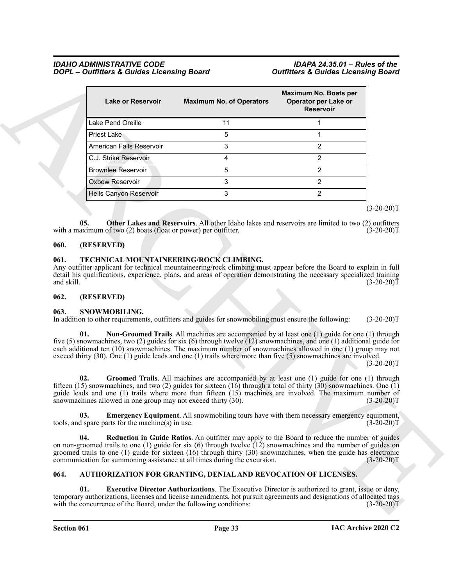| Maximum No. Boats per<br><b>Lake or Reservoir</b><br>Operator per Lake or<br><b>Maximum No. of Operators</b><br><b>Reservoir</b><br>Lake Pend Oreille<br>11<br>1<br>5<br><b>Priest Lake</b><br>1<br>3<br>$\overline{c}$<br>American Falls Reservoir<br>2<br>C.J. Strike Reservoir<br>4<br>5<br>2<br><b>Brownlee Reservoir</b><br>Oxbow Reservoir<br>3<br>$\overline{c}$<br>$\overline{2}$<br>3<br>Hells Canyon Reservoir<br>05.<br>with a maximum of two $(2)$ boats (float or power) per outfitter.<br>(RESERVED)<br>TECHNICAL MOUNTAINEERING/ROCK CLIMBING.<br>061.<br>and skill.<br>(RESERVED)<br>SNOWMOBILING.<br>In addition to other requirements, outfitters and guides for snowmobiling must ensure the following:<br>01.<br>exceed thirty $(30)$ . One $(1)$ guide leads and one $(1)$ trails where more than five $(5)$ snowmachines are involved.<br>02.<br>snowmachines allowed in one group may not exceed thirty $(30)$ .<br>03.<br>tools, and spare parts for the machine(s) in use.<br>04.<br>communication for summoning assistance at all times during the excursion.<br>AUTHORIZATION FOR GRANTING, DENIAL AND REVOCATION OF LICENSES.<br>01.<br>with the concurrence of the Board, under the following conditions:                                                                                                                                                                                                                                                                                                                                                                                                                                                                                                                                                                                  |      | <b>DOPL</b> - Outfitters & Guides Licensing Board | <b>Outfitters &amp; Guides Licensing Board</b> |              |
|-------------------------------------------------------------------------------------------------------------------------------------------------------------------------------------------------------------------------------------------------------------------------------------------------------------------------------------------------------------------------------------------------------------------------------------------------------------------------------------------------------------------------------------------------------------------------------------------------------------------------------------------------------------------------------------------------------------------------------------------------------------------------------------------------------------------------------------------------------------------------------------------------------------------------------------------------------------------------------------------------------------------------------------------------------------------------------------------------------------------------------------------------------------------------------------------------------------------------------------------------------------------------------------------------------------------------------------------------------------------------------------------------------------------------------------------------------------------------------------------------------------------------------------------------------------------------------------------------------------------------------------------------------------------------------------------------------------------------------------------------------------------------------------------------------------------------|------|---------------------------------------------------|------------------------------------------------|--------------|
|                                                                                                                                                                                                                                                                                                                                                                                                                                                                                                                                                                                                                                                                                                                                                                                                                                                                                                                                                                                                                                                                                                                                                                                                                                                                                                                                                                                                                                                                                                                                                                                                                                                                                                                                                                                                                         |      |                                                   |                                                |              |
|                                                                                                                                                                                                                                                                                                                                                                                                                                                                                                                                                                                                                                                                                                                                                                                                                                                                                                                                                                                                                                                                                                                                                                                                                                                                                                                                                                                                                                                                                                                                                                                                                                                                                                                                                                                                                         |      |                                                   |                                                |              |
|                                                                                                                                                                                                                                                                                                                                                                                                                                                                                                                                                                                                                                                                                                                                                                                                                                                                                                                                                                                                                                                                                                                                                                                                                                                                                                                                                                                                                                                                                                                                                                                                                                                                                                                                                                                                                         |      |                                                   |                                                |              |
|                                                                                                                                                                                                                                                                                                                                                                                                                                                                                                                                                                                                                                                                                                                                                                                                                                                                                                                                                                                                                                                                                                                                                                                                                                                                                                                                                                                                                                                                                                                                                                                                                                                                                                                                                                                                                         |      |                                                   |                                                |              |
|                                                                                                                                                                                                                                                                                                                                                                                                                                                                                                                                                                                                                                                                                                                                                                                                                                                                                                                                                                                                                                                                                                                                                                                                                                                                                                                                                                                                                                                                                                                                                                                                                                                                                                                                                                                                                         |      |                                                   |                                                |              |
|                                                                                                                                                                                                                                                                                                                                                                                                                                                                                                                                                                                                                                                                                                                                                                                                                                                                                                                                                                                                                                                                                                                                                                                                                                                                                                                                                                                                                                                                                                                                                                                                                                                                                                                                                                                                                         |      |                                                   |                                                |              |
|                                                                                                                                                                                                                                                                                                                                                                                                                                                                                                                                                                                                                                                                                                                                                                                                                                                                                                                                                                                                                                                                                                                                                                                                                                                                                                                                                                                                                                                                                                                                                                                                                                                                                                                                                                                                                         |      |                                                   |                                                |              |
| $(3-20-20)T$<br>Other Lakes and Reservoirs. All other Idaho lakes and reservoirs are limited to two (2) outfitters<br>$(3-20-20)T$<br>Any outfitter applicant for technical mountaineering/rock climbing must appear before the Board to explain in full<br>detail his qualifications, experience, plans, and areas of operation demonstrating the necessary specialized training<br>$(3-20-20)T$<br>Non-Groomed Trails. All machines are accompanied by at least one (1) guide for one (1) through<br>five (5) snowmachines, two (2) guides for six (6) through twelve (12) snowmachines, and one (1) additional guide for<br>each additional ten (10) snowmachines. The maximum number of snowmachines allowed in one (1) group may not<br>Groomed Trails. All machines are accompanied by at least one (1) guide for one (1) through<br>fifteen (15) snowmachines, and two (2) guides for sixteen (16) through a total of thirty (30) snowmachines. One (1)<br>guide leads and one (1) trails where more than fifteen (15) machines are involved. The maximum number of<br>$(3 - 20 - 20)$ F<br><b>Emergency Equipment.</b> All snowmobiling tours have with them necessary emergency equipment,<br>$(3-20-20)T$<br>Reduction in Guide Ratios. An outfitter may apply to the Board to reduce the number of guides<br>on non-groomed trails to one (1) guide for six (6) through twelve $(12)$ snowmachines and the number of guides on<br>groomed trails to one $(1)$ guide for sixteen $(16)$ through thirty $(30)$ snowmachines, when the guide has electronic<br>$(3-20-20)T$<br><b>Executive Director Authorizations</b> . The Executive Director is authorized to grant, issue or deny,<br>temporary authorizations, licenses and license amendments, hot pursuit agreements and designations of allocated tags |      |                                                   |                                                |              |
|                                                                                                                                                                                                                                                                                                                                                                                                                                                                                                                                                                                                                                                                                                                                                                                                                                                                                                                                                                                                                                                                                                                                                                                                                                                                                                                                                                                                                                                                                                                                                                                                                                                                                                                                                                                                                         |      |                                                   |                                                |              |
|                                                                                                                                                                                                                                                                                                                                                                                                                                                                                                                                                                                                                                                                                                                                                                                                                                                                                                                                                                                                                                                                                                                                                                                                                                                                                                                                                                                                                                                                                                                                                                                                                                                                                                                                                                                                                         |      |                                                   |                                                |              |
|                                                                                                                                                                                                                                                                                                                                                                                                                                                                                                                                                                                                                                                                                                                                                                                                                                                                                                                                                                                                                                                                                                                                                                                                                                                                                                                                                                                                                                                                                                                                                                                                                                                                                                                                                                                                                         |      |                                                   |                                                |              |
|                                                                                                                                                                                                                                                                                                                                                                                                                                                                                                                                                                                                                                                                                                                                                                                                                                                                                                                                                                                                                                                                                                                                                                                                                                                                                                                                                                                                                                                                                                                                                                                                                                                                                                                                                                                                                         | 060. |                                                   |                                                |              |
|                                                                                                                                                                                                                                                                                                                                                                                                                                                                                                                                                                                                                                                                                                                                                                                                                                                                                                                                                                                                                                                                                                                                                                                                                                                                                                                                                                                                                                                                                                                                                                                                                                                                                                                                                                                                                         | 062. |                                                   |                                                |              |
|                                                                                                                                                                                                                                                                                                                                                                                                                                                                                                                                                                                                                                                                                                                                                                                                                                                                                                                                                                                                                                                                                                                                                                                                                                                                                                                                                                                                                                                                                                                                                                                                                                                                                                                                                                                                                         | 063. |                                                   |                                                | $(3-20-20)T$ |
|                                                                                                                                                                                                                                                                                                                                                                                                                                                                                                                                                                                                                                                                                                                                                                                                                                                                                                                                                                                                                                                                                                                                                                                                                                                                                                                                                                                                                                                                                                                                                                                                                                                                                                                                                                                                                         |      |                                                   |                                                | $(3-20-20)T$ |
|                                                                                                                                                                                                                                                                                                                                                                                                                                                                                                                                                                                                                                                                                                                                                                                                                                                                                                                                                                                                                                                                                                                                                                                                                                                                                                                                                                                                                                                                                                                                                                                                                                                                                                                                                                                                                         |      |                                                   |                                                |              |
|                                                                                                                                                                                                                                                                                                                                                                                                                                                                                                                                                                                                                                                                                                                                                                                                                                                                                                                                                                                                                                                                                                                                                                                                                                                                                                                                                                                                                                                                                                                                                                                                                                                                                                                                                                                                                         |      |                                                   |                                                |              |
|                                                                                                                                                                                                                                                                                                                                                                                                                                                                                                                                                                                                                                                                                                                                                                                                                                                                                                                                                                                                                                                                                                                                                                                                                                                                                                                                                                                                                                                                                                                                                                                                                                                                                                                                                                                                                         |      |                                                   |                                                |              |
|                                                                                                                                                                                                                                                                                                                                                                                                                                                                                                                                                                                                                                                                                                                                                                                                                                                                                                                                                                                                                                                                                                                                                                                                                                                                                                                                                                                                                                                                                                                                                                                                                                                                                                                                                                                                                         | 064. |                                                   |                                                |              |
|                                                                                                                                                                                                                                                                                                                                                                                                                                                                                                                                                                                                                                                                                                                                                                                                                                                                                                                                                                                                                                                                                                                                                                                                                                                                                                                                                                                                                                                                                                                                                                                                                                                                                                                                                                                                                         |      |                                                   |                                                | $(3-20-20)T$ |

#### <span id="page-32-7"></span><span id="page-32-0"></span>**060. (RESERVED)**

#### <span id="page-32-13"></span><span id="page-32-1"></span>**061. TECHNICAL MOUNTAINEERING/ROCK CLIMBING.**

#### <span id="page-32-2"></span>**062. (RESERVED)**

#### <span id="page-32-11"></span><span id="page-32-10"></span><span id="page-32-8"></span><span id="page-32-3"></span>**063. SNOWMOBILING.**

#### <span id="page-32-12"></span><span id="page-32-9"></span><span id="page-32-6"></span><span id="page-32-5"></span><span id="page-32-4"></span>**064. AUTHORIZATION FOR GRANTING, DENIAL AND REVOCATION OF LICENSES.**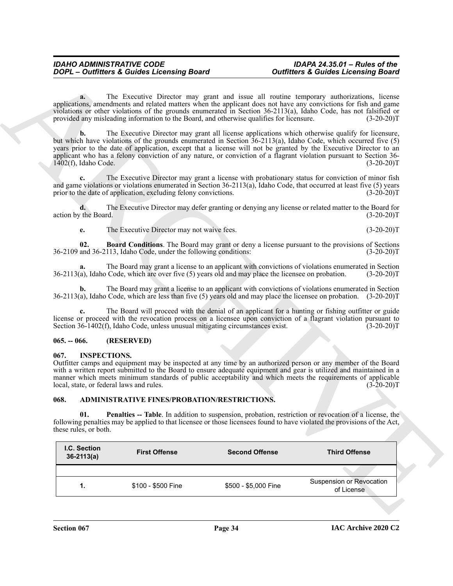#### <span id="page-33-5"></span><span id="page-33-0"></span>**065. -- 066. (RESERVED)**

#### <span id="page-33-6"></span><span id="page-33-1"></span>**067. INSPECTIONS.**

#### <span id="page-33-4"></span><span id="page-33-3"></span><span id="page-33-2"></span>**068. ADMINISTRATIVE FINES/PROBATION/RESTRICTIONS.**

|               |                                           |                                                                                | <b>DOPL</b> - Outfitters & Guides Licensing Board                                                     | <b>Outfitters &amp; Guides Licensing Board</b>                                                                                                                                                                                                                                                                                                                                                                                                                                |
|---------------|-------------------------------------------|--------------------------------------------------------------------------------|-------------------------------------------------------------------------------------------------------|-------------------------------------------------------------------------------------------------------------------------------------------------------------------------------------------------------------------------------------------------------------------------------------------------------------------------------------------------------------------------------------------------------------------------------------------------------------------------------|
|               | a.                                        |                                                                                | provided any misleading information to the Board, and otherwise qualifies for licensure.              | The Executive Director may grant and issue all routine temporary authorizations, license<br>applications, amendments and related matters when the applicant does not have any convictions for fish and game<br>violations or other violations of the grounds enumerated in Section 36-2113(a), Idaho Code, has not falsified or<br>$(3-20-20)T$                                                                                                                               |
|               | $\mathbf{b}$ .<br>$1402(f)$ , Idaho Code. |                                                                                |                                                                                                       | The Executive Director may grant all license applications which otherwise qualify for licensure,<br>but which have violations of the grounds enumerated in Section 36-2113(a), Idaho Code, which occurred five (5)<br>years prior to the date of application, except that a license will not be granted by the Executive Director to an<br>applicant who has a felony conviction of any nature, or conviction of a flagrant violation pursuant to Section 36-<br>$(3-20-20)T$ |
|               |                                           | prior to the date of application, excluding felony convictions.                |                                                                                                       | The Executive Director may grant a license with probationary status for conviction of minor fish<br>and game violations or violations enumerated in Section 36-2113(a), Idaho Code, that occurred at least five (5) years<br>$(3-20-20)T$                                                                                                                                                                                                                                     |
|               | action by the Board.                      |                                                                                |                                                                                                       | The Executive Director may defer granting or denying any license or related matter to the Board for<br>$(3-20-20)T$                                                                                                                                                                                                                                                                                                                                                           |
|               | e.                                        | The Executive Director may not waive fees.                                     |                                                                                                       | $(3-20-20)T$                                                                                                                                                                                                                                                                                                                                                                                                                                                                  |
|               | 02.                                       | 36-2109 and 36-2113, Idaho Code, under the following conditions:               |                                                                                                       | <b>Board Conditions.</b> The Board may grant or deny a license pursuant to the provisions of Sections<br>$(3-20-20)T$                                                                                                                                                                                                                                                                                                                                                         |
|               | a.                                        |                                                                                | $36-2113(a)$ , Idaho Code, which are over five (5) years old and may place the licensee on probation. | The Board may grant a license to an applicant with convictions of violations enumerated in Section<br>$(3-20-20)T$                                                                                                                                                                                                                                                                                                                                                            |
|               | b.                                        |                                                                                |                                                                                                       | The Board may grant a license to an applicant with convictions of violations enumerated in Section<br>$36-2113(a)$ , Idaho Code, which are less than five (5) years old and may place the licensee on probation. (3-20-20)T                                                                                                                                                                                                                                                   |
|               |                                           | Section 36-1402(f), Idaho Code, unless unusual mitigating circumstances exist. |                                                                                                       | The Board will proceed with the denial of an applicant for a hunting or fishing outfitter or guide<br>license or proceed with the revocation process on a licensee upon conviction of a flagrant violation pursuant to<br>$(3-20-20)T$                                                                                                                                                                                                                                        |
| $065. - 066.$ |                                           | (RESERVED)                                                                     |                                                                                                       |                                                                                                                                                                                                                                                                                                                                                                                                                                                                               |
| 067.          | <b>INSPECTIONS.</b>                       | local, state, or federal laws and rules.                                       |                                                                                                       | Outfitter camps and equipment may be inspected at any time by an authorized person or any member of the Board<br>with a written report submitted to the Board to ensure adequate equipment and gear is utilized and maintained in a<br>manner which meets minimum standards of public acceptability and which meets the requirements of applicable<br>$(3-20-20)T$                                                                                                            |
| 068.          |                                           | ADMINISTRATIVE FINES/PROBATION/RESTRICTIONS.                                   |                                                                                                       |                                                                                                                                                                                                                                                                                                                                                                                                                                                                               |
|               | 01.<br>these rules, or both.              |                                                                                |                                                                                                       | <b>Penalties -- Table</b> . In addition to suspension, probation, restriction or revocation of a license, the<br>following penalties may be applied to that licensee or those licensees found to have violated the provisions of the Act,                                                                                                                                                                                                                                     |
|               | I.C. Section<br>$36 - 2113(a)$            | <b>First Offense</b>                                                           | <b>Second Offense</b>                                                                                 | <b>Third Offense</b>                                                                                                                                                                                                                                                                                                                                                                                                                                                          |
|               |                                           |                                                                                |                                                                                                       |                                                                                                                                                                                                                                                                                                                                                                                                                                                                               |
|               | 1.                                        | \$100 - \$500 Fine                                                             | \$500 - \$5,000 Fine                                                                                  | <b>Suspension or Revocation</b><br>of License                                                                                                                                                                                                                                                                                                                                                                                                                                 |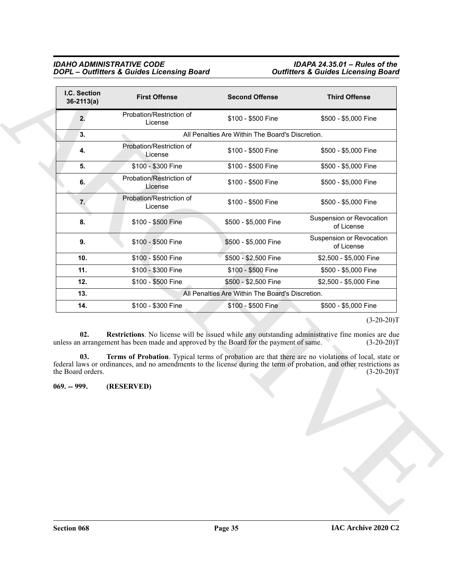<span id="page-34-2"></span><span id="page-34-1"></span><span id="page-34-0"></span>

| I.C. Section<br>$36-2113(a)$       | <b>First Offense</b>                                                                                                                                                                                                                                                                                                                                                                                                     | <b>Second Offense</b> | <b>Third Offense</b>                   |
|------------------------------------|--------------------------------------------------------------------------------------------------------------------------------------------------------------------------------------------------------------------------------------------------------------------------------------------------------------------------------------------------------------------------------------------------------------------------|-----------------------|----------------------------------------|
| 2.                                 | Probation/Restriction of<br>License                                                                                                                                                                                                                                                                                                                                                                                      | \$100 - \$500 Fine    | \$500 - \$5,000 Fine                   |
| 3.                                 | All Penalties Are Within The Board's Discretion.                                                                                                                                                                                                                                                                                                                                                                         |                       |                                        |
| 4.                                 | Probation/Restriction of<br>License                                                                                                                                                                                                                                                                                                                                                                                      | \$100 - \$500 Fine    | \$500 - \$5,000 Fine                   |
| 5.                                 | \$100 - \$300 Fine                                                                                                                                                                                                                                                                                                                                                                                                       | \$100 - \$500 Fine    | \$500 - \$5,000 Fine                   |
| 6.                                 | Probation/Restriction of<br>License                                                                                                                                                                                                                                                                                                                                                                                      | \$100 - \$500 Fine    | \$500 - \$5,000 Fine                   |
| 7.                                 | Probation/Restriction of<br>License                                                                                                                                                                                                                                                                                                                                                                                      | \$100 - \$500 Fine    | \$500 - \$5,000 Fine                   |
| 8.                                 | \$100 - \$500 Fine                                                                                                                                                                                                                                                                                                                                                                                                       | \$500 - \$5,000 Fine  | Suspension or Revocation<br>of License |
| 9.                                 | \$100 - \$500 Fine                                                                                                                                                                                                                                                                                                                                                                                                       | \$500 - \$5,000 Fine  | Suspension or Revocation<br>of License |
| 10.                                | \$100 - \$500 Fine                                                                                                                                                                                                                                                                                                                                                                                                       | \$500 - \$2,500 Fine  | \$2,500 - \$5,000 Fine                 |
| 11.                                | \$100 - \$300 Fine                                                                                                                                                                                                                                                                                                                                                                                                       | \$100 - \$500 Fine    | \$500 - \$5,000 Fine                   |
| 12.                                | \$100 - \$500 Fine                                                                                                                                                                                                                                                                                                                                                                                                       | \$500 - \$2,500 Fine  | \$2,500 - \$5,000 Fine                 |
| 13.                                | All Penalties Are Within The Board's Discretion.                                                                                                                                                                                                                                                                                                                                                                         |                       |                                        |
| 14.                                | \$100 - \$300 Fine                                                                                                                                                                                                                                                                                                                                                                                                       | \$100 - \$500 Fine    | \$500 - \$5,000 Fine                   |
| 02.<br>03.                         | Restrictions. No license will be issued while any outstanding administrative fine monies are due<br>unless an arrangement has been made and approved by the Board for the payment of same.<br>Terms of Probation. Typical terms of probation are that there are no violations of local, state or<br>federal laws or ordinances, and no amendments to the license during the term of probation, and other restrictions as |                       | $(3-20-20)T$<br>$(3-20-20)T$           |
|                                    |                                                                                                                                                                                                                                                                                                                                                                                                                          |                       |                                        |
| the Board orders.<br>$069. - 999.$ | (RESERVED)                                                                                                                                                                                                                                                                                                                                                                                                               |                       |                                        |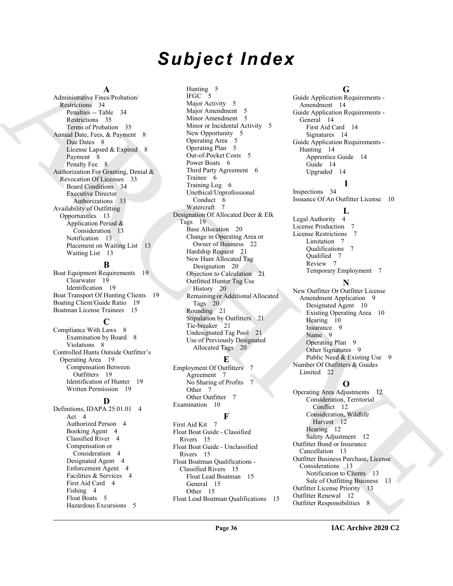# *Subject Index*

#### **A**

Administrative Fines/Probation/ Restrictions 34 Penalties -- Table 34 Restrictions 35 Terms of Probation 35 Annual Date, Fees, & Payment 8 Due Dates 8 License Lapsed & Expired 8 Payment 8 Penalty Fee 8 Authorization For Granting, Denial & Revocation Of Licenses 33 Board Conditions 34 Executive Director Authorizations 33 Availability of Outfitting Opportunities 13 Application Period & Consideration 13 Notification 13 Placement on Waiting List 13 Waiting List 13

#### **B**

Boat Equipment Requirements 19 Clearwater 19 Identification 19 Boat Transport Of Hunting Clients 19 Boating Client/Guide Ratio 19 Boatman License Trainees 15

#### **C**

Compliance With Laws 8 Examination by Board 8 Violations 8 Controlled Hunts Outside Outfitter's Operating Area 19 Compensation Between Outfitters 19 Identification of Hunter 19 Written Permission 19

#### **D**

Definitions, IDAPA 25.01.01 4 Act 4 Authorized Person 4 Booking Agent 4 Classified River 4 Compensation or Consideration 4 Designated Agent 4 Enforcement Agent 4 Facilities & Services 4 First Aid Card 4 Fishing 4 Float Boats 5 Hazardous Excursions 5

[A](#page-33-3)dministration and the spin-order of the spin-order of the spin-order of the spin-order of the spin-order of the spin-order of the spin-order of the spin-order of the spin-order of the spin-order of the spin-order of the Hunting 5 IFGC 5 Major Activity 5 Major Amendment 5 Minor Amendment 5 Minor or Incidental Activity 5 New Opportunity 5 Operating Area 5 Operating Plan 5 Out-of-Pocket Costs 5 Power Boats 6 Third Party Agreement 6 Trainee 6 Training Log 6 Unethical/Unprofessional Conduct 6 Watercraft Designation Of Allocated Deer & Elk Tags 19 Base Allocation 20 Change in Operating Area or Owner of Business 22 Hardship Request 21 New Hunt Allocated Tag Designation 20 Objection to Calculation 21 Outfitted Hunter Tag Use History 20 Remaining or Additional Allocated Tags 20 Rounding 21 Stipulation by Outfitters 21 Tie-breaker 21 Undesignated Tag Pool 21 Use of Previously Designated Allocated Tags 20

## **E**

Employment Of Outfitters 7 Agreement 7 No Sharing of Profits 7 Other 7 Other Outfitter 7 Examination 10

#### **F**

First Aid Kit 7 Float Boat Guide - Classified Rivers 15 Float Boat Guide - Unclassified Rivers 15 Float Boatman Qualifications - Classified Rivers 15 Float Lead Boatman 15 General 15 Other 15 Float Lead Boatman Qualifications 15

#### **G**

Guide Application Requirements - Amendment 14 Guide Application Requirements - General 14 First Aid Card 14 Signatures 14 Guide Application Requirements - Hunting 14 Apprentice Guide 14 Guide 14 Upgraded 14

#### **I**

Inspections 34 Issuance Of An Outfitter License 10

#### $\mathbf{L}$

Legal Authority 4 License Production 7 License Restrictions 7 Limitation 7 Qualifications 7 Qualified 7 Review 7 Temporary Employment 7

#### **N**

New Outfitter Or Outfitter License Amendment Application 9 Designated Agent 10 Existing Operating Area 10 Hearing 10 Insurance 9 Name 9 Operating Plan 9 Other Signatures 9 Public Need & Existing Use 9 Number Of Outfitters & Guides Limited 22

## **O**

Operating Area Adjustments 12 Consideration, Territorial Conflict 12 Consideration, Wildlife Harvest 12 Hearing 12 Safety Adjustment 12 Outfitter Bond or Insurance Cancellation 13 Outfitter Business Purchase, License Considerations 13 Notification to Clients 13 Sale of Outfitting Business 13 Outfitter License Priority 13 Outfitter Renewal 12 Outfitter Responsibilities 8